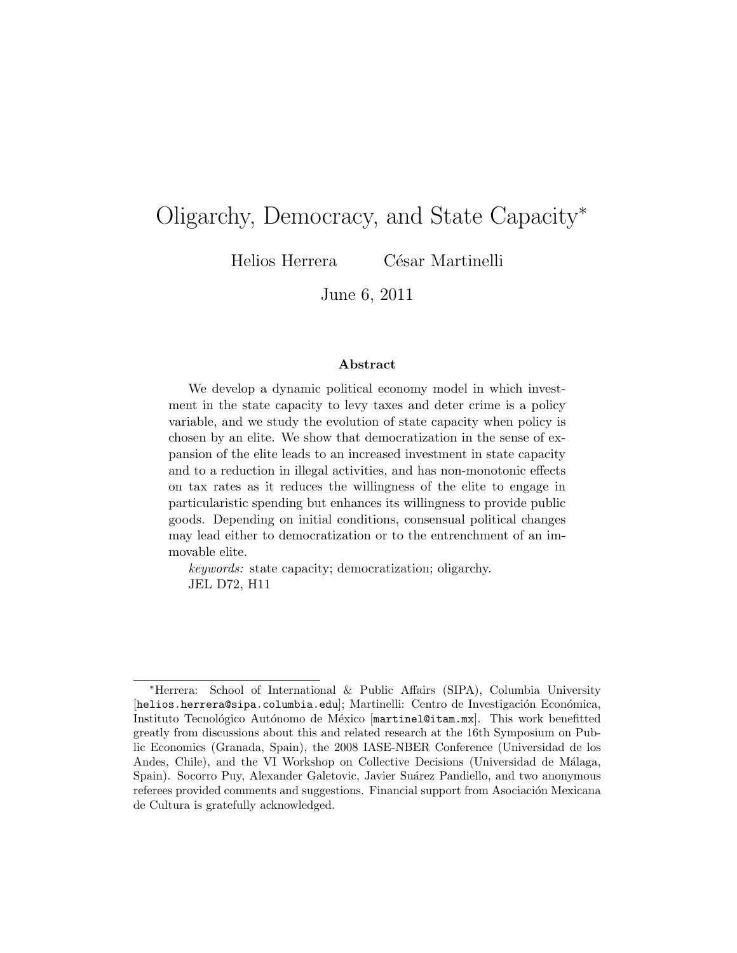# Oligarchy, Democracy, and State Capacity<sup>∗</sup>

Helios Herrera César Martinelli

June 6, 2011

#### Abstract

We develop a dynamic political economy model in which investment in the state capacity to levy taxes and deter crime is a policy variable, and we study the evolution of state capacity when policy is chosen by an elite. We show that democratization in the sense of expansion of the elite leads to an increased investment in state capacity and to a reduction in illegal activities, and has non-monotonic effects on tax rates as it reduces the willingness of the elite to engage in particularistic spending but enhances its willingness to provide public goods. Depending on initial conditions, consensual political changes may lead either to democratization or to the entrenchment of an immovable elite.

keywords: state capacity; democratization; oligarchy. JEL D72, H11

<sup>∗</sup>Herrera: School of International & Public Affairs (SIPA), Columbia University [helios.herrera@sipa.columbia.edu]; Martinelli: Centro de Investigación Económica, Instituto Tecnológico Autónomo de México [martinel@itam.mx]. This work benefitted greatly from discussions about this and related research at the 16th Symposium on Public Economics (Granada, Spain), the 2008 IASE-NBER Conference (Universidad de los Andes, Chile), and the VI Workshop on Collective Decisions (Universidad de Málaga, Spain). Socorro Puy, Alexander Galetovic, Javier Suárez Pandiello, and two anonymous referees provided comments and suggestions. Financial support from Asociación Mexicana de Cultura is gratefully acknowledged.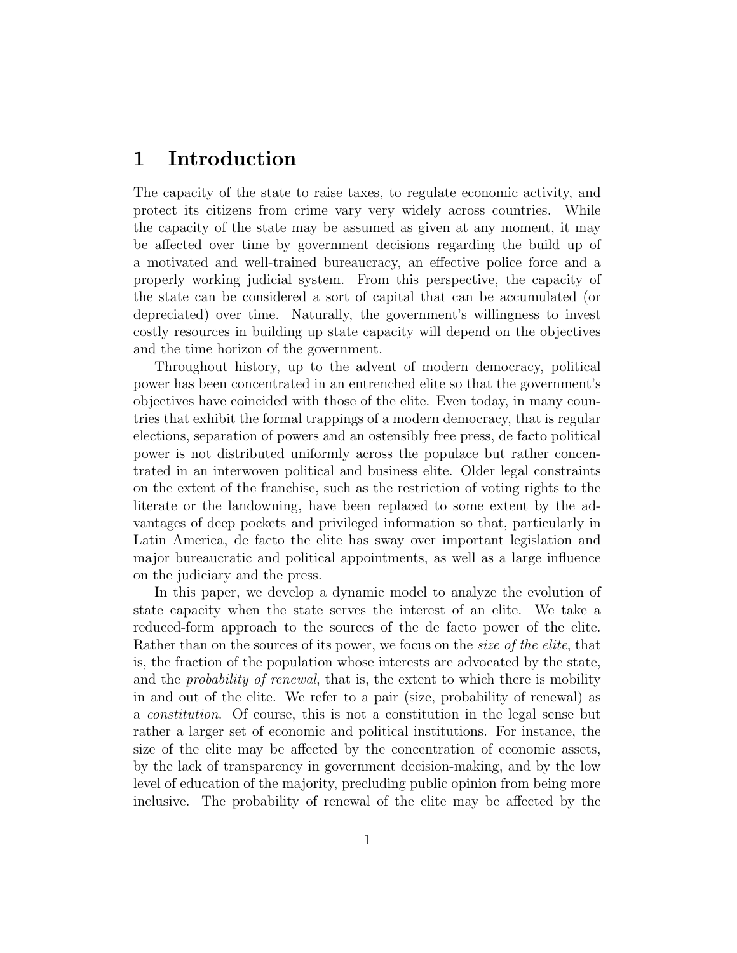# 1 Introduction

The capacity of the state to raise taxes, to regulate economic activity, and protect its citizens from crime vary very widely across countries. While the capacity of the state may be assumed as given at any moment, it may be affected over time by government decisions regarding the build up of a motivated and well-trained bureaucracy, an effective police force and a properly working judicial system. From this perspective, the capacity of the state can be considered a sort of capital that can be accumulated (or depreciated) over time. Naturally, the government's willingness to invest costly resources in building up state capacity will depend on the objectives and the time horizon of the government.

Throughout history, up to the advent of modern democracy, political power has been concentrated in an entrenched elite so that the government's objectives have coincided with those of the elite. Even today, in many countries that exhibit the formal trappings of a modern democracy, that is regular elections, separation of powers and an ostensibly free press, de facto political power is not distributed uniformly across the populace but rather concentrated in an interwoven political and business elite. Older legal constraints on the extent of the franchise, such as the restriction of voting rights to the literate or the landowning, have been replaced to some extent by the advantages of deep pockets and privileged information so that, particularly in Latin America, de facto the elite has sway over important legislation and major bureaucratic and political appointments, as well as a large influence on the judiciary and the press.

In this paper, we develop a dynamic model to analyze the evolution of state capacity when the state serves the interest of an elite. We take a reduced-form approach to the sources of the de facto power of the elite. Rather than on the sources of its power, we focus on the *size of the elite*, that is, the fraction of the population whose interests are advocated by the state, and the *probability of renewal*, that is, the extent to which there is mobility in and out of the elite. We refer to a pair (size, probability of renewal) as a constitution. Of course, this is not a constitution in the legal sense but rather a larger set of economic and political institutions. For instance, the size of the elite may be affected by the concentration of economic assets, by the lack of transparency in government decision-making, and by the low level of education of the majority, precluding public opinion from being more inclusive. The probability of renewal of the elite may be affected by the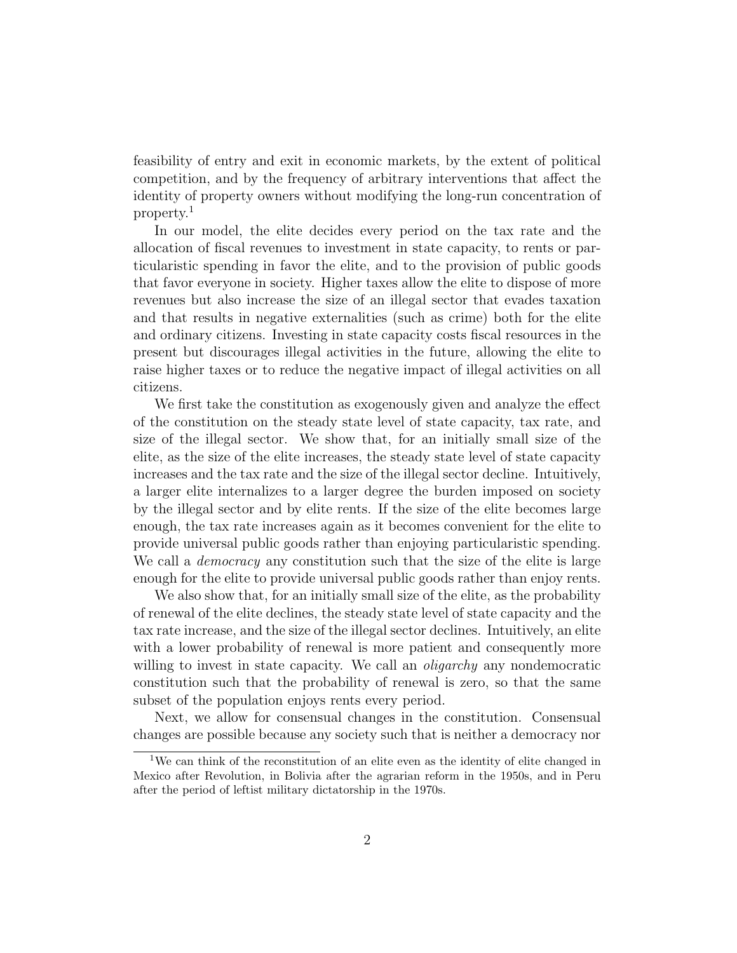feasibility of entry and exit in economic markets, by the extent of political competition, and by the frequency of arbitrary interventions that affect the identity of property owners without modifying the long-run concentration of property.<sup>1</sup>

In our model, the elite decides every period on the tax rate and the allocation of fiscal revenues to investment in state capacity, to rents or particularistic spending in favor the elite, and to the provision of public goods that favor everyone in society. Higher taxes allow the elite to dispose of more revenues but also increase the size of an illegal sector that evades taxation and that results in negative externalities (such as crime) both for the elite and ordinary citizens. Investing in state capacity costs fiscal resources in the present but discourages illegal activities in the future, allowing the elite to raise higher taxes or to reduce the negative impact of illegal activities on all citizens.

We first take the constitution as exogenously given and analyze the effect of the constitution on the steady state level of state capacity, tax rate, and size of the illegal sector. We show that, for an initially small size of the elite, as the size of the elite increases, the steady state level of state capacity increases and the tax rate and the size of the illegal sector decline. Intuitively, a larger elite internalizes to a larger degree the burden imposed on society by the illegal sector and by elite rents. If the size of the elite becomes large enough, the tax rate increases again as it becomes convenient for the elite to provide universal public goods rather than enjoying particularistic spending. We call a *democracy* any constitution such that the size of the elite is large enough for the elite to provide universal public goods rather than enjoy rents.

We also show that, for an initially small size of the elite, as the probability of renewal of the elite declines, the steady state level of state capacity and the tax rate increase, and the size of the illegal sector declines. Intuitively, an elite with a lower probability of renewal is more patient and consequently more willing to invest in state capacity. We call an *oligarchy* any nondemocratic constitution such that the probability of renewal is zero, so that the same subset of the population enjoys rents every period.

Next, we allow for consensual changes in the constitution. Consensual changes are possible because any society such that is neither a democracy nor

<sup>&</sup>lt;sup>1</sup>We can think of the reconstitution of an elite even as the identity of elite changed in Mexico after Revolution, in Bolivia after the agrarian reform in the 1950s, and in Peru after the period of leftist military dictatorship in the 1970s.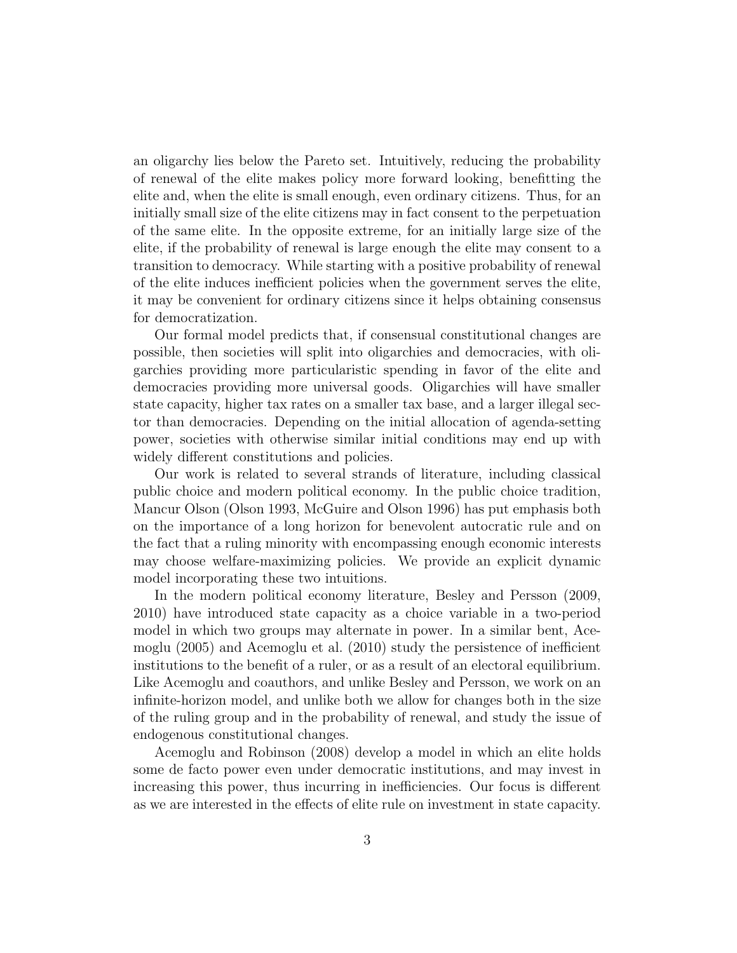an oligarchy lies below the Pareto set. Intuitively, reducing the probability of renewal of the elite makes policy more forward looking, benefitting the elite and, when the elite is small enough, even ordinary citizens. Thus, for an initially small size of the elite citizens may in fact consent to the perpetuation of the same elite. In the opposite extreme, for an initially large size of the elite, if the probability of renewal is large enough the elite may consent to a transition to democracy. While starting with a positive probability of renewal of the elite induces inefficient policies when the government serves the elite, it may be convenient for ordinary citizens since it helps obtaining consensus for democratization.

Our formal model predicts that, if consensual constitutional changes are possible, then societies will split into oligarchies and democracies, with oligarchies providing more particularistic spending in favor of the elite and democracies providing more universal goods. Oligarchies will have smaller state capacity, higher tax rates on a smaller tax base, and a larger illegal sector than democracies. Depending on the initial allocation of agenda-setting power, societies with otherwise similar initial conditions may end up with widely different constitutions and policies.

Our work is related to several strands of literature, including classical public choice and modern political economy. In the public choice tradition, Mancur Olson (Olson 1993, McGuire and Olson 1996) has put emphasis both on the importance of a long horizon for benevolent autocratic rule and on the fact that a ruling minority with encompassing enough economic interests may choose welfare-maximizing policies. We provide an explicit dynamic model incorporating these two intuitions.

In the modern political economy literature, Besley and Persson (2009, 2010) have introduced state capacity as a choice variable in a two-period model in which two groups may alternate in power. In a similar bent, Acemoglu (2005) and Acemoglu et al. (2010) study the persistence of inefficient institutions to the benefit of a ruler, or as a result of an electoral equilibrium. Like Acemoglu and coauthors, and unlike Besley and Persson, we work on an infinite-horizon model, and unlike both we allow for changes both in the size of the ruling group and in the probability of renewal, and study the issue of endogenous constitutional changes.

Acemoglu and Robinson (2008) develop a model in which an elite holds some de facto power even under democratic institutions, and may invest in increasing this power, thus incurring in inefficiencies. Our focus is different as we are interested in the effects of elite rule on investment in state capacity.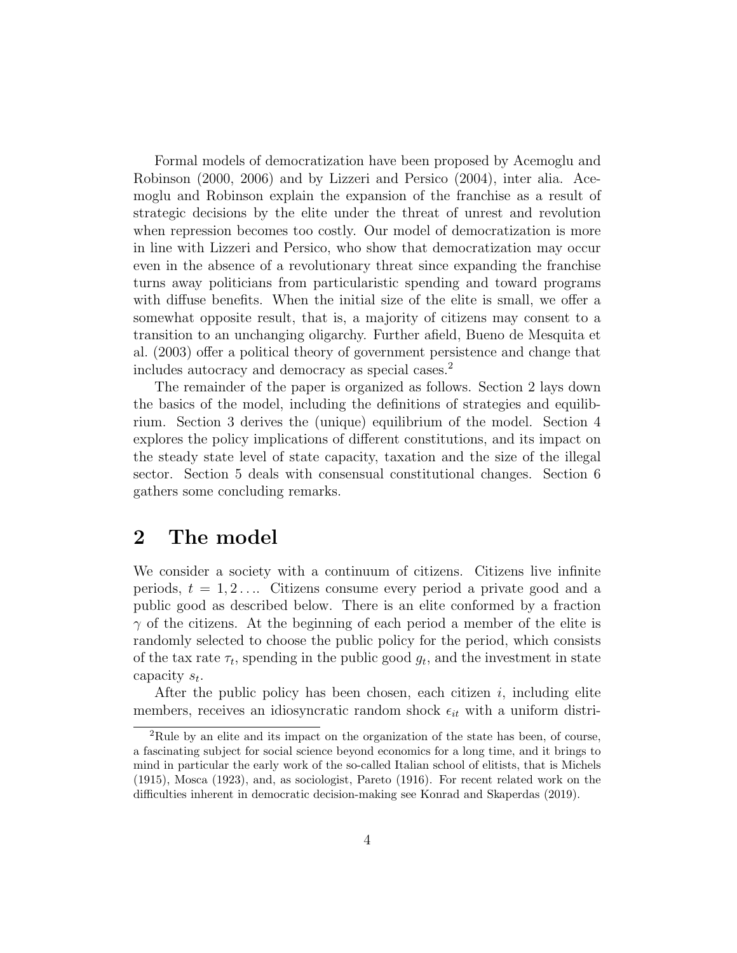Formal models of democratization have been proposed by Acemoglu and Robinson (2000, 2006) and by Lizzeri and Persico (2004), inter alia. Acemoglu and Robinson explain the expansion of the franchise as a result of strategic decisions by the elite under the threat of unrest and revolution when repression becomes too costly. Our model of democratization is more in line with Lizzeri and Persico, who show that democratization may occur even in the absence of a revolutionary threat since expanding the franchise turns away politicians from particularistic spending and toward programs with diffuse benefits. When the initial size of the elite is small, we offer a somewhat opposite result, that is, a majority of citizens may consent to a transition to an unchanging oligarchy. Further afield, Bueno de Mesquita et al. (2003) offer a political theory of government persistence and change that includes autocracy and democracy as special cases.<sup>2</sup>

The remainder of the paper is organized as follows. Section 2 lays down the basics of the model, including the definitions of strategies and equilibrium. Section 3 derives the (unique) equilibrium of the model. Section 4 explores the policy implications of different constitutions, and its impact on the steady state level of state capacity, taxation and the size of the illegal sector. Section 5 deals with consensual constitutional changes. Section 6 gathers some concluding remarks.

# 2 The model

We consider a society with a continuum of citizens. Citizens live infinite periods,  $t = 1, 2, \ldots$  Citizens consume every period a private good and a public good as described below. There is an elite conformed by a fraction  $\gamma$  of the citizens. At the beginning of each period a member of the elite is randomly selected to choose the public policy for the period, which consists of the tax rate  $\tau_t$ , spending in the public good  $g_t$ , and the investment in state capacity  $s_t$ .

After the public policy has been chosen, each citizen  $i$ , including elite members, receives an idiosyncratic random shock  $\epsilon_{it}$  with a uniform distri-

<sup>2</sup>Rule by an elite and its impact on the organization of the state has been, of course, a fascinating subject for social science beyond economics for a long time, and it brings to mind in particular the early work of the so-called Italian school of elitists, that is Michels (1915), Mosca (1923), and, as sociologist, Pareto (1916). For recent related work on the difficulties inherent in democratic decision-making see Konrad and Skaperdas (2019).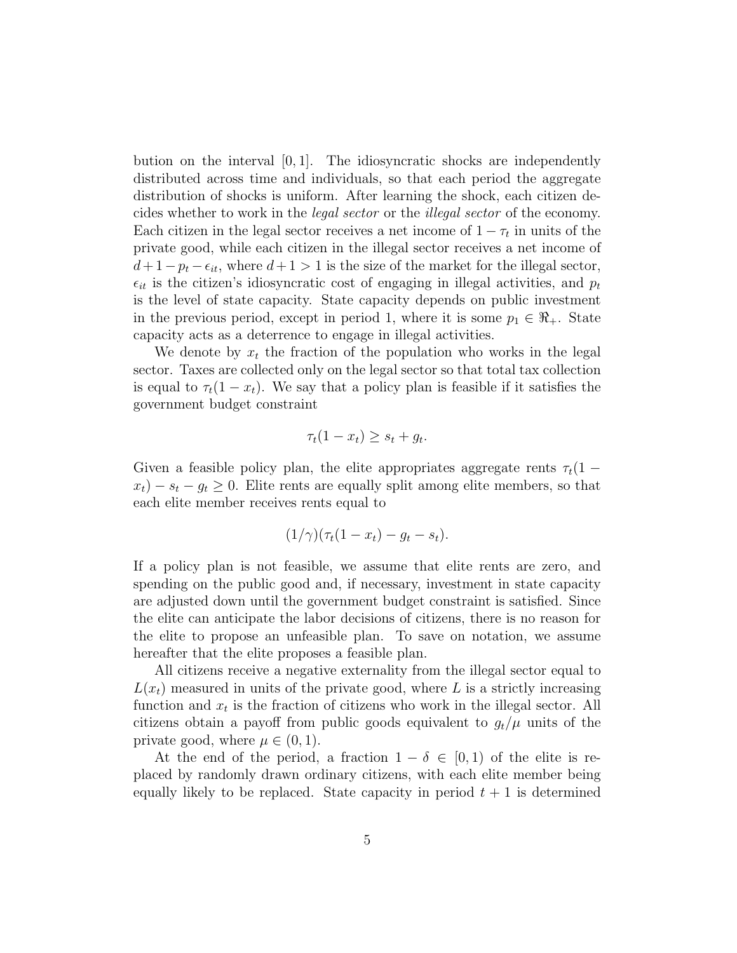bution on the interval  $[0, 1]$ . The idiosyncratic shocks are independently distributed across time and individuals, so that each period the aggregate distribution of shocks is uniform. After learning the shock, each citizen decides whether to work in the legal sector or the illegal sector of the economy. Each citizen in the legal sector receives a net income of  $1 - \tau_t$  in units of the private good, while each citizen in the illegal sector receives a net income of  $d+1-p_t-\epsilon_{it}$ , where  $d+1 > 1$  is the size of the market for the illegal sector,  $\epsilon_{it}$  is the citizen's idiosyncratic cost of engaging in illegal activities, and  $p_t$ is the level of state capacity. State capacity depends on public investment in the previous period, except in period 1, where it is some  $p_1 \in \mathbb{R}_+$ . State capacity acts as a deterrence to engage in illegal activities.

We denote by  $x_t$  the fraction of the population who works in the legal sector. Taxes are collected only on the legal sector so that total tax collection is equal to  $\tau_t(1-x_t)$ . We say that a policy plan is feasible if it satisfies the government budget constraint

$$
\tau_t(1 - x_t) \ge s_t + g_t.
$$

Given a feasible policy plan, the elite appropriates aggregate rents  $\tau_t(1$  $x_t$ ) –  $s_t$  –  $g_t \geq 0$ . Elite rents are equally split among elite members, so that each elite member receives rents equal to

$$
(1/\gamma)(\tau_t(1-x_t)-g_t-s_t).
$$

If a policy plan is not feasible, we assume that elite rents are zero, and spending on the public good and, if necessary, investment in state capacity are adjusted down until the government budget constraint is satisfied. Since the elite can anticipate the labor decisions of citizens, there is no reason for the elite to propose an unfeasible plan. To save on notation, we assume hereafter that the elite proposes a feasible plan.

All citizens receive a negative externality from the illegal sector equal to  $L(x_t)$  measured in units of the private good, where L is a strictly increasing function and  $x_t$  is the fraction of citizens who work in the illegal sector. All citizens obtain a payoff from public goods equivalent to  $g_t/\mu$  units of the private good, where  $\mu \in (0,1)$ .

At the end of the period, a fraction  $1 - \delta \in [0, 1)$  of the elite is replaced by randomly drawn ordinary citizens, with each elite member being equally likely to be replaced. State capacity in period  $t + 1$  is determined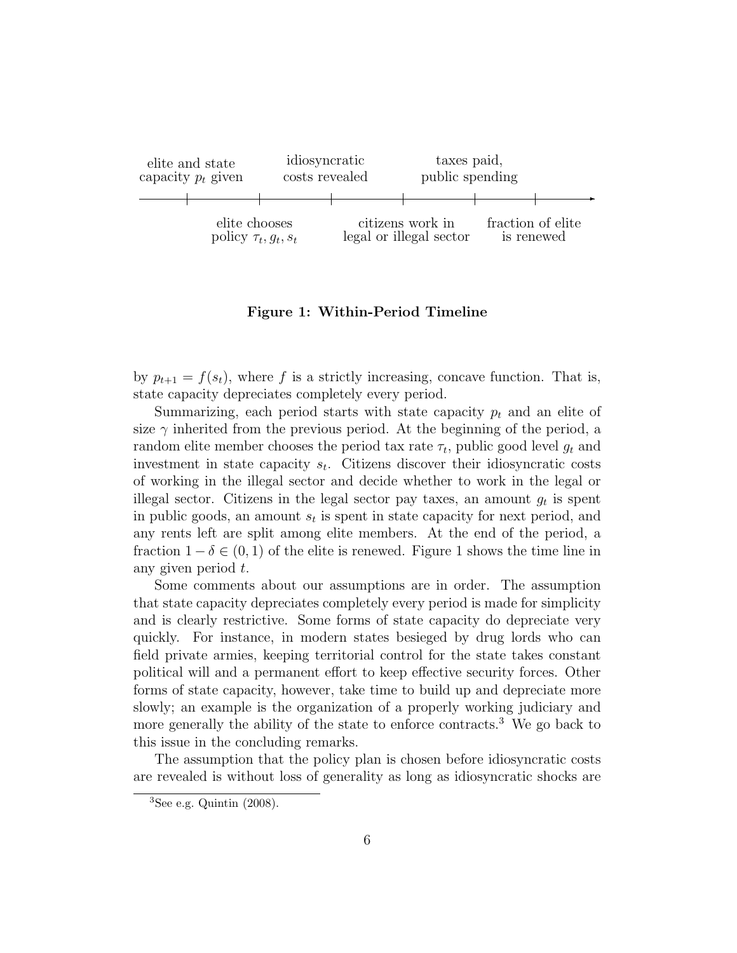

Figure 1: Within-Period Timeline

by  $p_{t+1} = f(s_t)$ , where f is a strictly increasing, concave function. That is, state capacity depreciates completely every period.

Summarizing, each period starts with state capacity  $p_t$  and an elite of size  $\gamma$  inherited from the previous period. At the beginning of the period, a random elite member chooses the period tax rate  $\tau_t$ , public good level  $g_t$  and investment in state capacity  $s_t$ . Citizens discover their idiosyncratic costs of working in the illegal sector and decide whether to work in the legal or illegal sector. Citizens in the legal sector pay taxes, an amount  $g_t$  is spent in public goods, an amount  $s_t$  is spent in state capacity for next period, and any rents left are split among elite members. At the end of the period, a fraction  $1 - \delta \in (0, 1)$  of the elite is renewed. Figure 1 shows the time line in any given period t.

Some comments about our assumptions are in order. The assumption that state capacity depreciates completely every period is made for simplicity and is clearly restrictive. Some forms of state capacity do depreciate very quickly. For instance, in modern states besieged by drug lords who can field private armies, keeping territorial control for the state takes constant political will and a permanent effort to keep effective security forces. Other forms of state capacity, however, take time to build up and depreciate more slowly; an example is the organization of a properly working judiciary and more generally the ability of the state to enforce contracts.<sup>3</sup> We go back to this issue in the concluding remarks.

The assumption that the policy plan is chosen before idiosyncratic costs are revealed is without loss of generality as long as idiosyncratic shocks are

 ${}^{3}$ See e.g. Quintin (2008).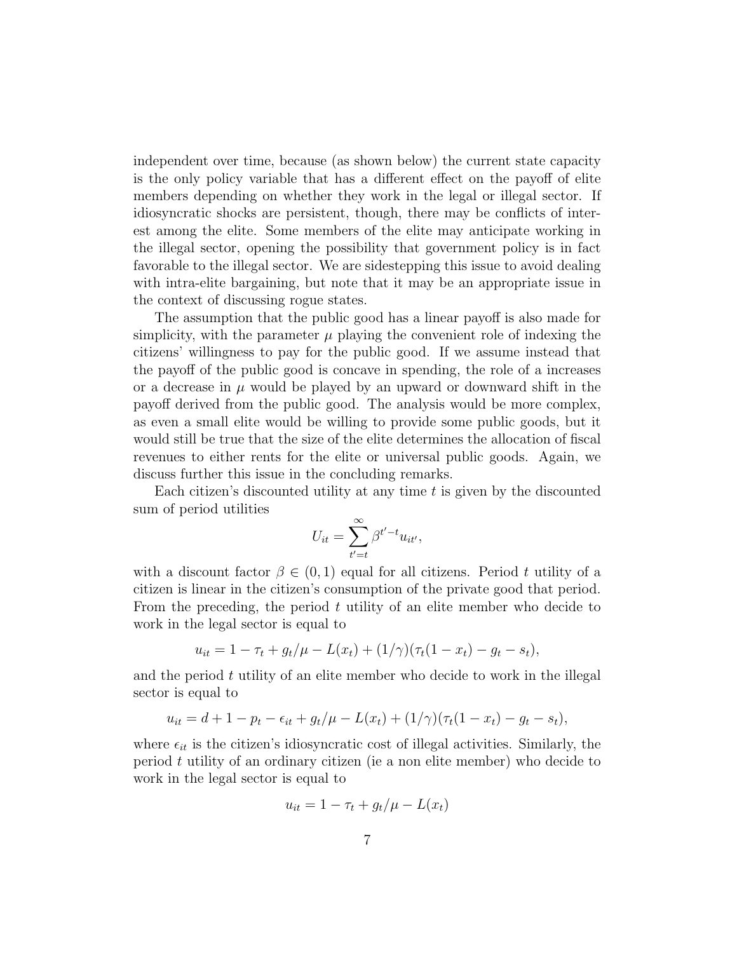independent over time, because (as shown below) the current state capacity is the only policy variable that has a different effect on the payoff of elite members depending on whether they work in the legal or illegal sector. If idiosyncratic shocks are persistent, though, there may be conflicts of interest among the elite. Some members of the elite may anticipate working in the illegal sector, opening the possibility that government policy is in fact favorable to the illegal sector. We are sidestepping this issue to avoid dealing with intra-elite bargaining, but note that it may be an appropriate issue in the context of discussing rogue states.

The assumption that the public good has a linear payoff is also made for simplicity, with the parameter  $\mu$  playing the convenient role of indexing the citizens' willingness to pay for the public good. If we assume instead that the payoff of the public good is concave in spending, the role of a increases or a decrease in  $\mu$  would be played by an upward or downward shift in the payoff derived from the public good. The analysis would be more complex, as even a small elite would be willing to provide some public goods, but it would still be true that the size of the elite determines the allocation of fiscal revenues to either rents for the elite or universal public goods. Again, we discuss further this issue in the concluding remarks.

Each citizen's discounted utility at any time t is given by the discounted sum of period utilities

$$
U_{it} = \sum_{t'=t}^{\infty} \beta^{t'-t} u_{it'},
$$

with a discount factor  $\beta \in (0,1)$  equal for all citizens. Period t utility of a citizen is linear in the citizen's consumption of the private good that period. From the preceding, the period  $t$  utility of an elite member who decide to work in the legal sector is equal to

$$
u_{it} = 1 - \tau_t + g_t/\mu - L(x_t) + (1/\gamma)(\tau_t(1 - x_t) - g_t - s_t),
$$

and the period  $t$  utility of an elite member who decide to work in the illegal sector is equal to

$$
u_{it} = d + 1 - p_t - \epsilon_{it} + g_t/\mu - L(x_t) + (1/\gamma)(\tau_t(1 - x_t) - g_t - s_t),
$$

where  $\epsilon_{it}$  is the citizen's idiosyncratic cost of illegal activities. Similarly, the period t utility of an ordinary citizen (ie a non elite member) who decide to work in the legal sector is equal to

$$
u_{it} = 1 - \tau_t + g_t/\mu - L(x_t)
$$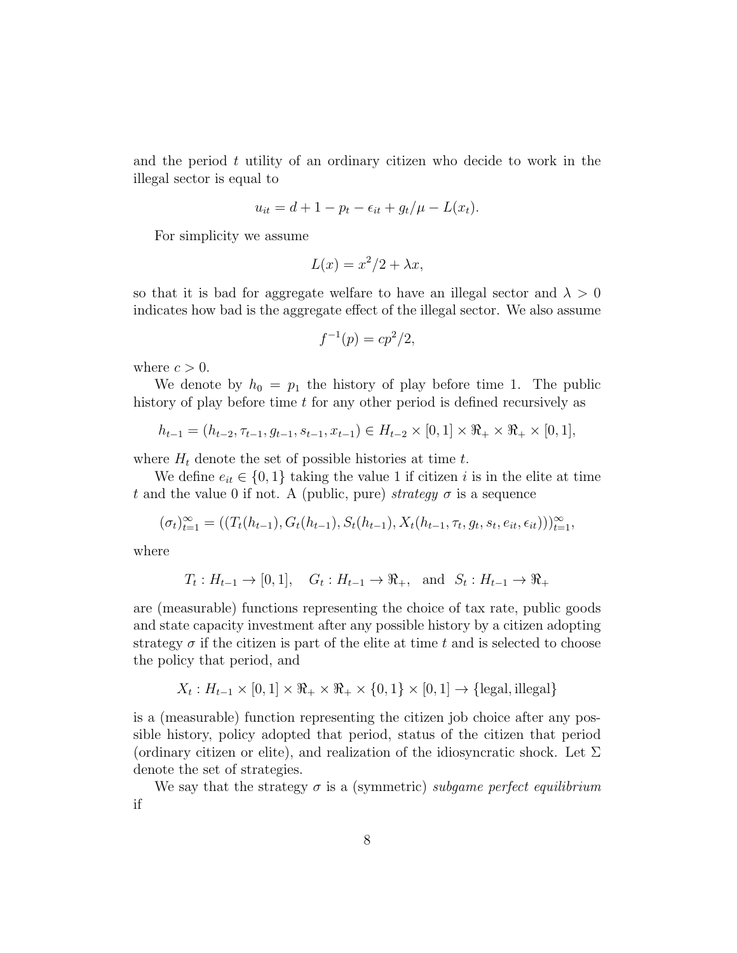and the period  $t$  utility of an ordinary citizen who decide to work in the illegal sector is equal to

$$
u_{it} = d + 1 - p_t - \epsilon_{it} + g_t / \mu - L(x_t).
$$

For simplicity we assume

$$
L(x) = x^2/2 + \lambda x,
$$

so that it is bad for aggregate welfare to have an illegal sector and  $\lambda > 0$ indicates how bad is the aggregate effect of the illegal sector. We also assume

$$
f^{-1}(p) = cp^2/2,
$$

where  $c > 0$ .

We denote by  $h_0 = p_1$  the history of play before time 1. The public history of play before time t for any other period is defined recursively as

$$
h_{t-1} = (h_{t-2}, \tau_{t-1}, g_{t-1}, s_{t-1}, x_{t-1}) \in H_{t-2} \times [0, 1] \times \Re_+ \times \Re_+ \times [0, 1],
$$

where  $H_t$  denote the set of possible histories at time t.

We define  $e_{it} \in \{0,1\}$  taking the value 1 if citizen i is in the elite at time t and the value 0 if not. A (public, pure) strategy  $\sigma$  is a sequence

$$
(\sigma_t)_{t=1}^{\infty} = ((T_t(h_{t-1}), G_t(h_{t-1}), S_t(h_{t-1}), X_t(h_{t-1}, \tau_t, g_t, s_t, e_{it}, \epsilon_{it})))_{t=1}^{\infty},
$$

where

$$
T_t: H_{t-1} \to [0,1], \quad G_t: H_{t-1} \to \mathbb{R}_+, \text{ and } S_t: H_{t-1} \to \mathbb{R}_+
$$

are (measurable) functions representing the choice of tax rate, public goods and state capacity investment after any possible history by a citizen adopting strategy  $\sigma$  if the citizen is part of the elite at time t and is selected to choose the policy that period, and

$$
X_t: H_{t-1} \times [0,1] \times \Re_+ \times \Re_+ \times \{0,1\} \times [0,1] \to \{\text{legal}, \text{ illegal}\}
$$

is a (measurable) function representing the citizen job choice after any possible history, policy adopted that period, status of the citizen that period (ordinary citizen or elite), and realization of the idiosyncratic shock. Let  $\Sigma$ denote the set of strategies.

We say that the strategy  $\sigma$  is a (symmetric) subgame perfect equilibrium if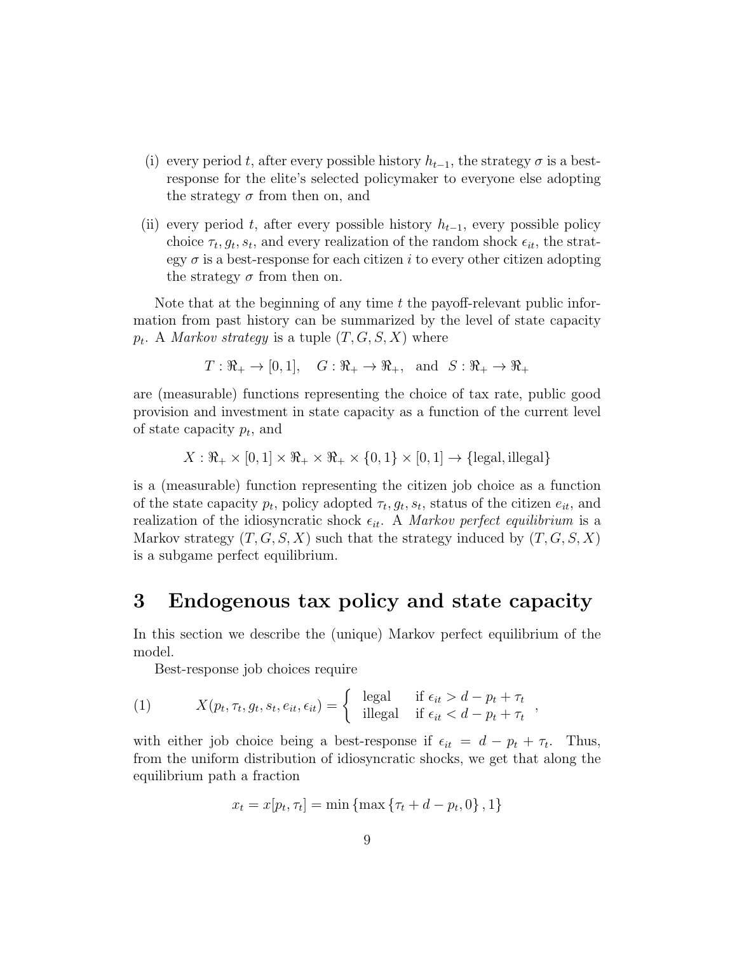- (i) every period t, after every possible history  $h_{t-1}$ , the strategy  $\sigma$  is a bestresponse for the elite's selected policymaker to everyone else adopting the strategy  $\sigma$  from then on, and
- (ii) every period t, after every possible history  $h_{t-1}$ , every possible policy choice  $\tau_t, g_t, s_t$ , and every realization of the random shock  $\epsilon_{it}$ , the strategy  $\sigma$  is a best-response for each citizen i to every other citizen adopting the strategy  $\sigma$  from then on.

Note that at the beginning of any time  $t$  the payoff-relevant public information from past history can be summarized by the level of state capacity  $p_t$ . A *Markov strategy* is a tuple  $(T, G, S, X)$  where

$$
T: \mathbb{R}_+ \to [0,1], \quad G: \mathbb{R}_+ \to \mathbb{R}_+, \text{ and } S: \mathbb{R}_+ \to \mathbb{R}_+
$$

are (measurable) functions representing the choice of tax rate, public good provision and investment in state capacity as a function of the current level of state capacity  $p_t$ , and

 $X: \mathbb{R}_+ \times [0, 1] \times \mathbb{R}_+ \times \mathbb{R}_+ \times \{0, 1\} \times [0, 1] \rightarrow \{\text{legal}, \text{ illegal}\}\$ 

is a (measurable) function representing the citizen job choice as a function of the state capacity  $p_t$ , policy adopted  $\tau_t, g_t, s_t$ , status of the citizen  $e_{it}$ , and realization of the idiosyncratic shock  $\epsilon_{it}$ . A Markov perfect equilibrium is a Markov strategy  $(T, G, S, X)$  such that the strategy induced by  $(T, G, S, X)$ is a subgame perfect equilibrium.

# 3 Endogenous tax policy and state capacity

In this section we describe the (unique) Markov perfect equilibrium of the model.

Best-response job choices require

(1) 
$$
X(p_t, \tau_t, g_t, s_t, e_{it}, \epsilon_{it}) = \begin{cases} \text{legal} & \text{if } \epsilon_{it} > d - p_t + \tau_t \\ \text{ illegal} & \text{if } \epsilon_{it} < d - p_t + \tau_t \end{cases},
$$

with either job choice being a best-response if  $\epsilon_{it} = d - p_t + \tau_t$ . Thus, from the uniform distribution of idiosyncratic shocks, we get that along the equilibrium path a fraction

$$
x_t = x[p_t, \tau_t] = \min \{ \max \{ \tau_t + d - p_t, 0 \}, 1 \}
$$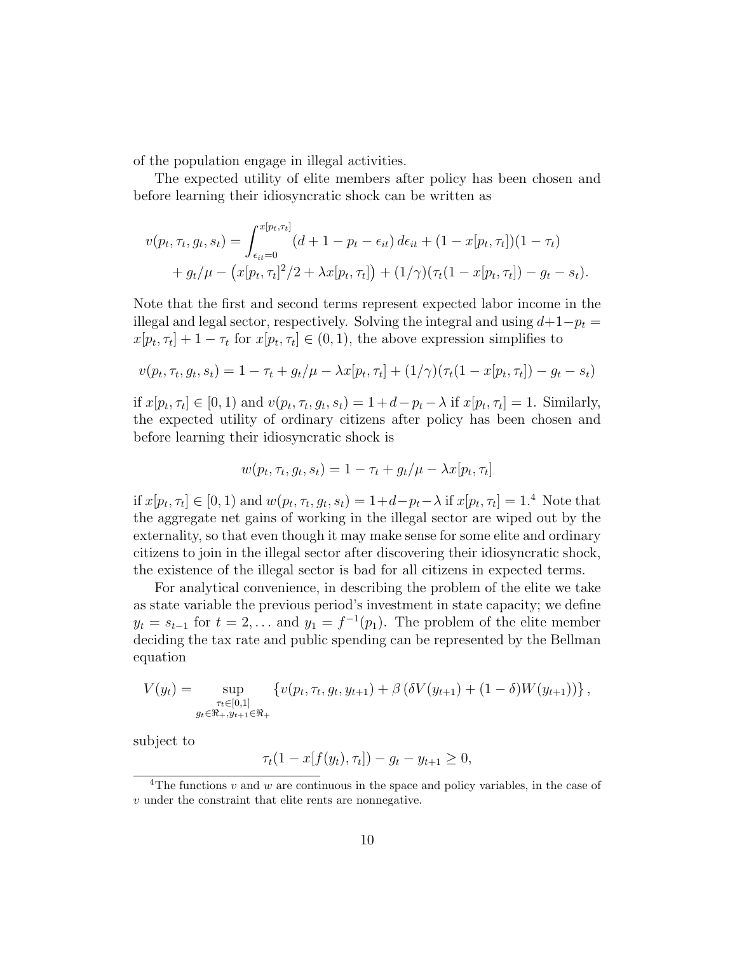of the population engage in illegal activities.

The expected utility of elite members after policy has been chosen and before learning their idiosyncratic shock can be written as

$$
v(p_t, \tau_t, g_t, s_t) = \int_{\epsilon_{it}=0}^{x[p_t, \tau_t]} (d+1 - p_t - \epsilon_{it}) d\epsilon_{it} + (1 - x[p_t, \tau_t])(1 - \tau_t)
$$
  
+ 
$$
g_t/\mu - (x[p_t, \tau_t]^2/2 + \lambda x[p_t, \tau_t]) + (1/\gamma)(\tau_t(1 - x[p_t, \tau_t]) - g_t - s_t).
$$

Note that the first and second terms represent expected labor income in the illegal and legal sector, respectively. Solving the integral and using  $d+1-p_t =$  $x[p_t, \tau_t] + 1 - \tau_t$  for  $x[p_t, \tau_t] \in (0, 1)$ , the above expression simplifies to

$$
v(p_t, \tau_t, g_t, s_t) = 1 - \tau_t + g_t/\mu - \lambda x[p_t, \tau_t] + (1/\gamma)(\tau_t(1 - x[p_t, \tau_t]) - g_t - s_t)
$$

if  $x[p_t, \tau_t] \in [0, 1)$  and  $v(p_t, \tau_t, g_t, s_t) = 1 + d - p_t - \lambda$  if  $x[p_t, \tau_t] = 1$ . Similarly, the expected utility of ordinary citizens after policy has been chosen and before learning their idiosyncratic shock is

$$
w(p_t, \tau_t, g_t, s_t) = 1 - \tau_t + g_t/\mu - \lambda x[p_t, \tau_t]
$$

if  $x[p_t, \tau_t] \in [0, 1)$  and  $w(p_t, \tau_t, g_t, s_t) = 1 + d - p_t - \lambda$  if  $x[p_t, \tau_t] = 1.4$  Note that the aggregate net gains of working in the illegal sector are wiped out by the externality, so that even though it may make sense for some elite and ordinary citizens to join in the illegal sector after discovering their idiosyncratic shock, the existence of the illegal sector is bad for all citizens in expected terms.

For analytical convenience, in describing the problem of the elite we take as state variable the previous period's investment in state capacity; we define  $y_t = s_{t-1}$  for  $t = 2, \ldots$  and  $y_1 = f^{-1}(p_1)$ . The problem of the elite member deciding the tax rate and public spending can be represented by the Bellman equation

$$
V(y_t) = \sup_{\substack{\tau_t \in [0,1] \\ g_t \in \Re_+, y_{t+1} \in \Re_+}} \{v(p_t, \tau_t, g_t, y_{t+1}) + \beta \left(\delta V(y_{t+1}) + (1 - \delta) W(y_{t+1})\right)\},\
$$

subject to

$$
\tau_t(1 - x[f(y_t), \tau_t]) - g_t - y_{t+1} \ge 0,
$$

<sup>&</sup>lt;sup>4</sup>The functions v and w are continuous in the space and policy variables, in the case of v under the constraint that elite rents are nonnegative.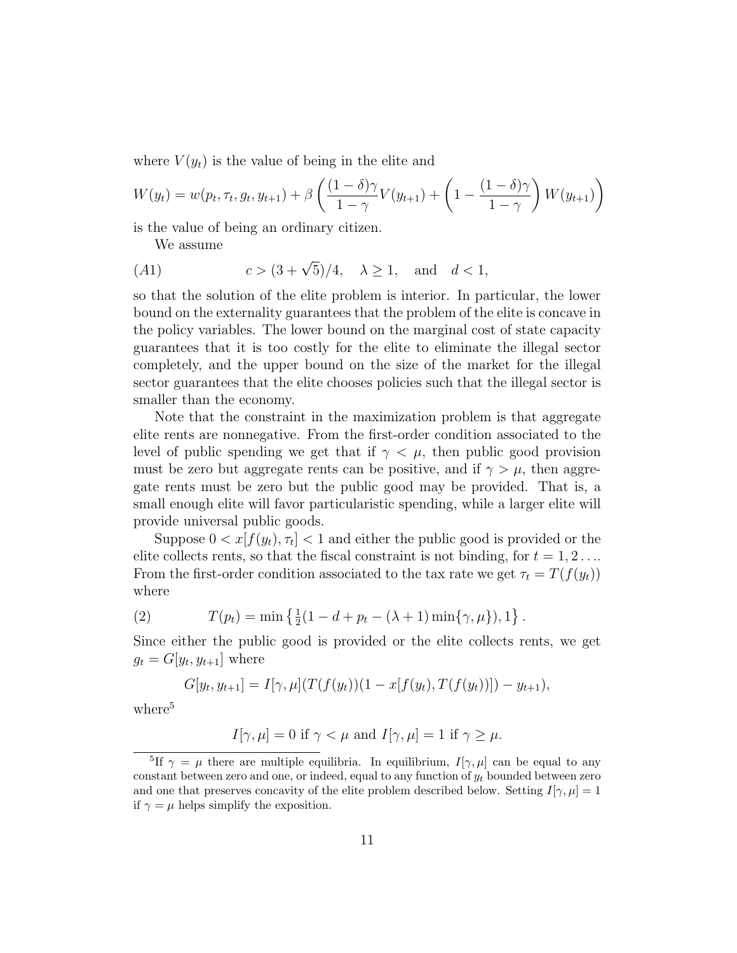where  $V(y_t)$  is the value of being in the elite and

$$
W(y_t) = w(p_t, \tau_t, g_t, y_{t+1}) + \beta \left( \frac{(1 - \delta)\gamma}{1 - \gamma} V(y_{t+1}) + \left( 1 - \frac{(1 - \delta)\gamma}{1 - \gamma} \right) W(y_{t+1}) \right)
$$

is the value of being an ordinary citizen.

We assume

$$
(A1) \t\t c > (3+\sqrt{5})/4, \quad \lambda \ge 1, \quad \text{and} \quad d < 1,
$$

so that the solution of the elite problem is interior. In particular, the lower bound on the externality guarantees that the problem of the elite is concave in the policy variables. The lower bound on the marginal cost of state capacity guarantees that it is too costly for the elite to eliminate the illegal sector completely, and the upper bound on the size of the market for the illegal sector guarantees that the elite chooses policies such that the illegal sector is smaller than the economy.

Note that the constraint in the maximization problem is that aggregate elite rents are nonnegative. From the first-order condition associated to the level of public spending we get that if  $\gamma < \mu$ , then public good provision must be zero but aggregate rents can be positive, and if  $\gamma > \mu$ , then aggregate rents must be zero but the public good may be provided. That is, a small enough elite will favor particularistic spending, while a larger elite will provide universal public goods.

Suppose  $0 < x[f(y_t), \tau_t] < 1$  and either the public good is provided or the elite collects rents, so that the fiscal constraint is not binding, for  $t = 1, 2, \ldots$ From the first-order condition associated to the tax rate we get  $\tau_t = T(f(y_t))$ where

(2) 
$$
T(p_t) = \min \left\{ \frac{1}{2} (1 - d + p_t - (\lambda + 1) \min\{\gamma, \mu\}), 1 \right\}.
$$

Since either the public good is provided or the elite collects rents, we get  $g_t = G[y_t, y_{t+1}]$  where

$$
G[y_t, y_{t+1}] = I[\gamma, \mu](T(f(y_t))(1 - x[f(y_t), T(f(y_t))]) - y_{t+1}),
$$

where<sup>5</sup>

$$
I[\gamma, \mu] = 0 \text{ if } \gamma < \mu \text{ and } I[\gamma, \mu] = 1 \text{ if } \gamma \ge \mu.
$$

<sup>&</sup>lt;sup>5</sup>If  $\gamma = \mu$  there are multiple equilibria. In equilibrium,  $I[\gamma, \mu]$  can be equal to any constant between zero and one, or indeed, equal to any function of  $y_t$  bounded between zero and one that preserves concavity of the elite problem described below. Setting  $I[\gamma, \mu] = 1$ if  $\gamma = \mu$  helps simplify the exposition.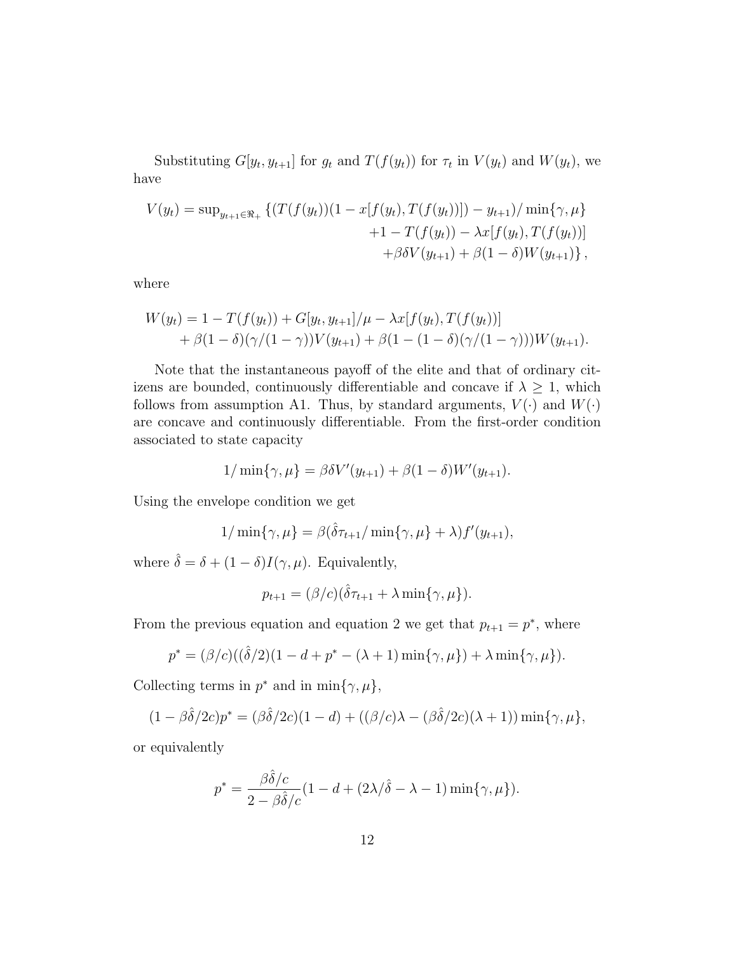Substituting  $G[y_t, y_{t+1}]$  for  $g_t$  and  $T(f(y_t))$  for  $\tau_t$  in  $V(y_t)$  and  $W(y_t)$ , we have

$$
V(y_t) = \sup_{y_{t+1} \in \mathbb{R}_+} \left\{ (T(f(y_t))(1 - x[f(y_t), T(f(y_t))]) - y_{t+1}) / \min\{\gamma, \mu\} + 1 - T(f(y_t)) - \lambda x[f(y_t), T(f(y_t))] + \beta \delta V(y_{t+1}) + \beta (1 - \delta) W(y_{t+1}) \right\},
$$

where

$$
W(y_t) = 1 - T(f(y_t)) + G[y_t, y_{t+1}]/\mu - \lambda x[f(y_t), T(f(y_t))]
$$
  
+  $\beta(1 - \delta)(\gamma/(1 - \gamma))V(y_{t+1}) + \beta(1 - (1 - \delta)(\gamma/(1 - \gamma)))W(y_{t+1}).$ 

Note that the instantaneous payoff of the elite and that of ordinary citizens are bounded, continuously differentiable and concave if  $\lambda \geq 1$ , which follows from assumption A1. Thus, by standard arguments,  $V(\cdot)$  and  $W(\cdot)$ are concave and continuously differentiable. From the first-order condition associated to state capacity

$$
1/\min\{\gamma,\mu\} = \beta \delta V'(y_{t+1}) + \beta (1-\delta) W'(y_{t+1}).
$$

Using the envelope condition we get

$$
1/\min{\gamma,\mu} = \beta(\hat{\delta}\tau_{t+1}/\min{\gamma,\mu} + \lambda)f'(y_{t+1}),
$$

where  $\hat{\delta} = \delta + (1 - \delta)I(\gamma, \mu)$ . Equivalently,

$$
p_{t+1} = (\beta/c)(\hat{\delta}\tau_{t+1} + \lambda \min{\gamma, \mu}).
$$

From the previous equation and equation 2 we get that  $p_{t+1} = p^*$ , where

$$
p^* = (\beta/c)((\hat{\delta}/2)(1 - d + p^* - (\lambda + 1)\min{\gamma, \mu}) + \lambda \min{\gamma, \mu}).
$$

Collecting terms in  $p^*$  and in min $\{\gamma, \mu\},\$ 

$$
(1 - \beta \hat{\delta}/2c)p^* = (\beta \hat{\delta}/2c)(1 - d) + ((\beta/c)\lambda - (\beta \hat{\delta}/2c)(\lambda + 1))\min{\gamma, \mu},
$$

or equivalently

$$
p^* = \frac{\beta \hat{\delta}/c}{2 - \beta \hat{\delta}/c} (1 - d + (2\lambda/\hat{\delta} - \lambda - 1) \min{\gamma, \mu}).
$$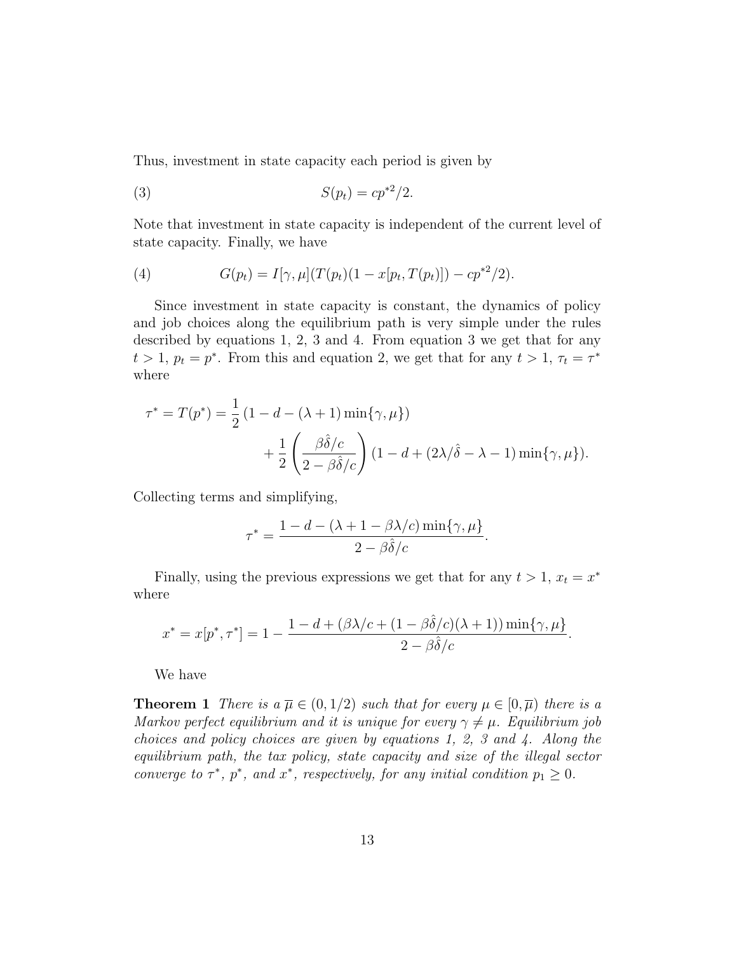Thus, investment in state capacity each period is given by

(3) 
$$
S(p_t) = cp^{*2}/2.
$$

Note that investment in state capacity is independent of the current level of state capacity. Finally, we have

(4) 
$$
G(p_t) = I[\gamma, \mu](T(p_t)(1 - x[p_t, T(p_t)]) - cp^{*2}/2).
$$

Since investment in state capacity is constant, the dynamics of policy and job choices along the equilibrium path is very simple under the rules described by equations 1, 2, 3 and 4. From equation 3 we get that for any  $t > 1$ ,  $p_t = p^*$ . From this and equation 2, we get that for any  $t > 1$ ,  $\tau_t = \tau^*$ where

$$
\tau^* = T(p^*) = \frac{1}{2} \left( 1 - d - (\lambda + 1) \min\{\gamma, \mu\} \right)
$$

$$
+ \frac{1}{2} \left( \frac{\beta \hat{\delta}/c}{2 - \beta \hat{\delta}/c} \right) \left( 1 - d + (2\lambda/\hat{\delta} - \lambda - 1) \min\{\gamma, \mu\} \right).
$$

Collecting terms and simplifying,

$$
\tau^* = \frac{1 - d - (\lambda + 1 - \beta \lambda/c) \min\{\gamma, \mu\}}{2 - \beta \hat{\delta}/c}.
$$

Finally, using the previous expressions we get that for any  $t > 1$ ,  $x_t = x^*$ where

$$
x^* = x[p^*, \tau^*] = 1 - \frac{1 - d + (\beta \lambda/c + (1 - \beta \hat{\delta}/c)(\lambda + 1))\min\{\gamma, \mu\}}{2 - \beta \hat{\delta}/c}.
$$

We have

**Theorem 1** There is  $a \overline{\mu} \in (0, 1/2)$  such that for every  $\mu \in [0, \overline{\mu})$  there is a Markov perfect equilibrium and it is unique for every  $\gamma \neq \mu$ . Equilibrium job choices and policy choices are given by equations 1, 2, 3 and 4. Along the equilibrium path, the tax policy, state capacity and size of the illegal sector converge to  $\tau^*$ ,  $p^*$ , and  $x^*$ , respectively, for any initial condition  $p_1 \geq 0$ .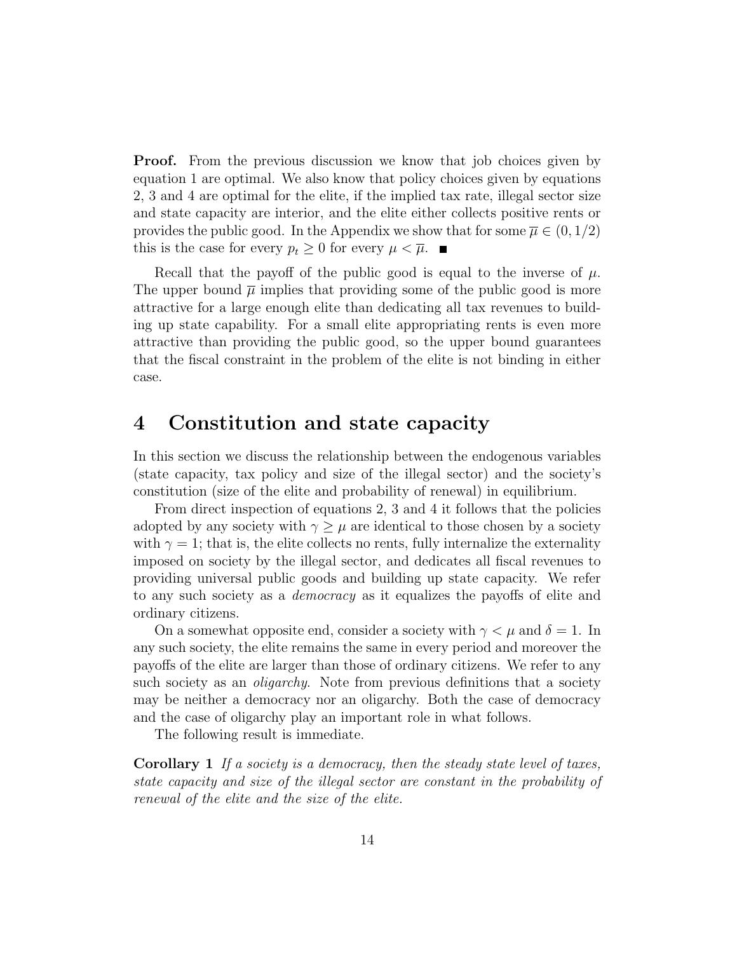**Proof.** From the previous discussion we know that job choices given by equation 1 are optimal. We also know that policy choices given by equations 2, 3 and 4 are optimal for the elite, if the implied tax rate, illegal sector size and state capacity are interior, and the elite either collects positive rents or provides the public good. In the Appendix we show that for some  $\overline{\mu} \in (0, 1/2)$ this is the case for every  $p_t \geq 0$  for every  $\mu < \overline{\mu}$ .

Recall that the payoff of the public good is equal to the inverse of  $\mu$ . The upper bound  $\overline{\mu}$  implies that providing some of the public good is more attractive for a large enough elite than dedicating all tax revenues to building up state capability. For a small elite appropriating rents is even more attractive than providing the public good, so the upper bound guarantees that the fiscal constraint in the problem of the elite is not binding in either case.

### 4 Constitution and state capacity

In this section we discuss the relationship between the endogenous variables (state capacity, tax policy and size of the illegal sector) and the society's constitution (size of the elite and probability of renewal) in equilibrium.

From direct inspection of equations 2, 3 and 4 it follows that the policies adopted by any society with  $\gamma \geq \mu$  are identical to those chosen by a society with  $\gamma = 1$ ; that is, the elite collects no rents, fully internalize the externality imposed on society by the illegal sector, and dedicates all fiscal revenues to providing universal public goods and building up state capacity. We refer to any such society as a democracy as it equalizes the payoffs of elite and ordinary citizens.

On a somewhat opposite end, consider a society with  $\gamma < \mu$  and  $\delta = 1$ . In any such society, the elite remains the same in every period and moreover the payoffs of the elite are larger than those of ordinary citizens. We refer to any such society as an *oligarchy*. Note from previous definitions that a society may be neither a democracy nor an oligarchy. Both the case of democracy and the case of oligarchy play an important role in what follows.

The following result is immediate.

**Corollary 1** If a society is a democracy, then the steady state level of taxes, state capacity and size of the illegal sector are constant in the probability of renewal of the elite and the size of the elite.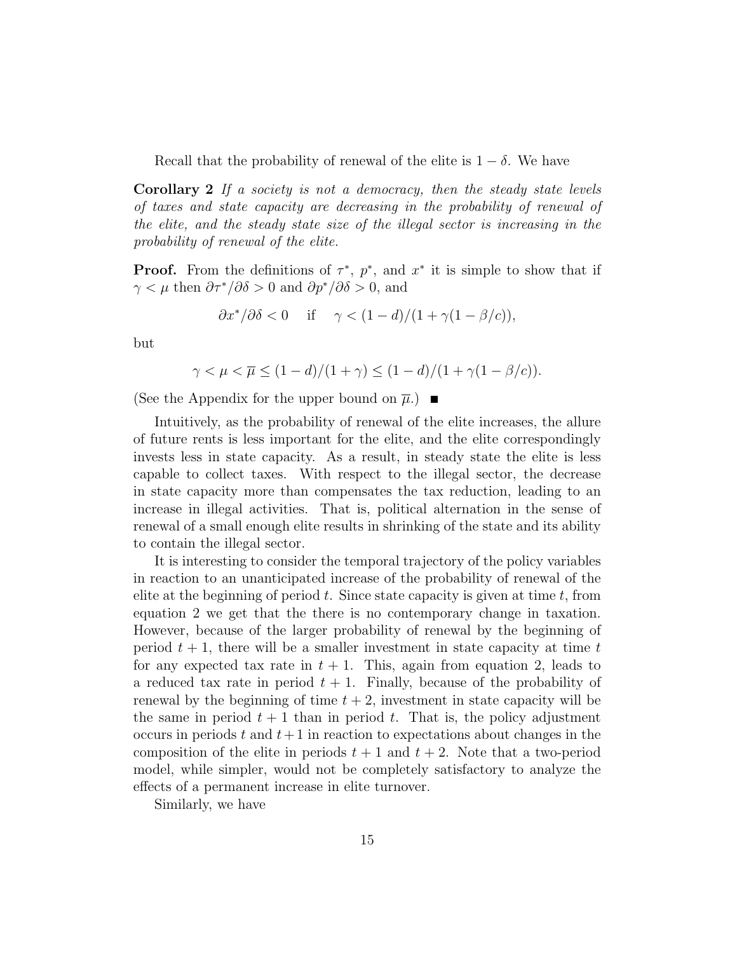Recall that the probability of renewal of the elite is  $1 - \delta$ . We have

Corollary 2 If a society is not a democracy, then the steady state levels of taxes and state capacity are decreasing in the probability of renewal of the elite, and the steady state size of the illegal sector is increasing in the probability of renewal of the elite.

**Proof.** From the definitions of  $\tau^*$ ,  $p^*$ , and  $x^*$  it is simple to show that if  $\gamma < \mu$  then  $\partial \tau^* / \partial \delta > 0$  and  $\partial p^* / \partial \delta > 0$ , and

$$
\frac{\partial x^*}{\partial \delta} < 0 \quad \text{if} \quad \gamma < (1 - d) / (1 + \gamma (1 - \beta / c)),
$$

but

$$
\gamma < \mu < \overline{\mu} \le (1 - d)/(1 + \gamma) \le (1 - d)/(1 + \gamma(1 - \beta/c)).
$$

(See the Appendix for the upper bound on  $\overline{\mu}$ .)

Intuitively, as the probability of renewal of the elite increases, the allure of future rents is less important for the elite, and the elite correspondingly invests less in state capacity. As a result, in steady state the elite is less capable to collect taxes. With respect to the illegal sector, the decrease in state capacity more than compensates the tax reduction, leading to an increase in illegal activities. That is, political alternation in the sense of renewal of a small enough elite results in shrinking of the state and its ability to contain the illegal sector.

It is interesting to consider the temporal trajectory of the policy variables in reaction to an unanticipated increase of the probability of renewal of the elite at the beginning of period  $t$ . Since state capacity is given at time  $t$ , from equation 2 we get that the there is no contemporary change in taxation. However, because of the larger probability of renewal by the beginning of period  $t + 1$ , there will be a smaller investment in state capacity at time t for any expected tax rate in  $t + 1$ . This, again from equation 2, leads to a reduced tax rate in period  $t + 1$ . Finally, because of the probability of renewal by the beginning of time  $t + 2$ , investment in state capacity will be the same in period  $t + 1$  than in period t. That is, the policy adjustment occurs in periods t and  $t+1$  in reaction to expectations about changes in the composition of the elite in periods  $t + 1$  and  $t + 2$ . Note that a two-period model, while simpler, would not be completely satisfactory to analyze the effects of a permanent increase in elite turnover.

Similarly, we have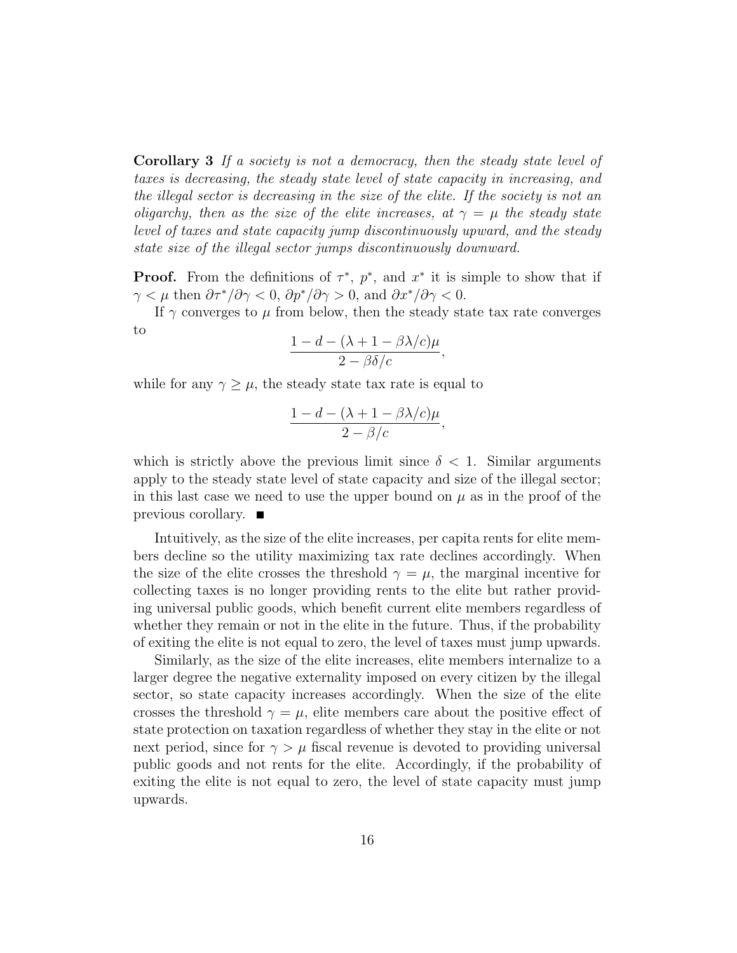Corollary 3 If a society is not a democracy, then the steady state level of taxes is decreasing, the steady state level of state capacity in increasing, and the illegal sector is decreasing in the size of the elite. If the society is not an oligarchy, then as the size of the elite increases, at  $\gamma = \mu$  the steady state level of taxes and state capacity jump discontinuously upward, and the steady state size of the illegal sector jumps discontinuously downward.

**Proof.** From the definitions of  $\tau^*$ ,  $p^*$ , and  $x^*$  it is simple to show that if  $\gamma < \mu$  then  $\partial \tau^* / \partial \gamma < 0$ ,  $\partial p^* / \partial \gamma > 0$ , and  $\partial x^* / \partial \gamma < 0$ .

If  $\gamma$  converges to  $\mu$  from below, then the steady state tax rate converges to

$$
\frac{1-d-(\lambda+1-\beta\lambda/c)\mu}{2-\beta\delta/c},
$$

while for any  $\gamma > \mu$ , the steady state tax rate is equal to

$$
\frac{1-d-(\lambda+1-\beta\lambda/c)\mu}{2-\beta/c},
$$

which is strictly above the previous limit since  $\delta < 1$ . Similar arguments apply to the steady state level of state capacity and size of the illegal sector; in this last case we need to use the upper bound on  $\mu$  as in the proof of the previous corollary.

Intuitively, as the size of the elite increases, per capita rents for elite members decline so the utility maximizing tax rate declines accordingly. When the size of the elite crosses the threshold  $\gamma = \mu$ , the marginal incentive for collecting taxes is no longer providing rents to the elite but rather providing universal public goods, which benefit current elite members regardless of whether they remain or not in the elite in the future. Thus, if the probability of exiting the elite is not equal to zero, the level of taxes must jump upwards.

Similarly, as the size of the elite increases, elite members internalize to a larger degree the negative externality imposed on every citizen by the illegal sector, so state capacity increases accordingly. When the size of the elite crosses the threshold  $\gamma = \mu$ , elite members care about the positive effect of state protection on taxation regardless of whether they stay in the elite or not next period, since for  $\gamma > \mu$  fiscal revenue is devoted to providing universal public goods and not rents for the elite. Accordingly, if the probability of exiting the elite is not equal to zero, the level of state capacity must jump upwards.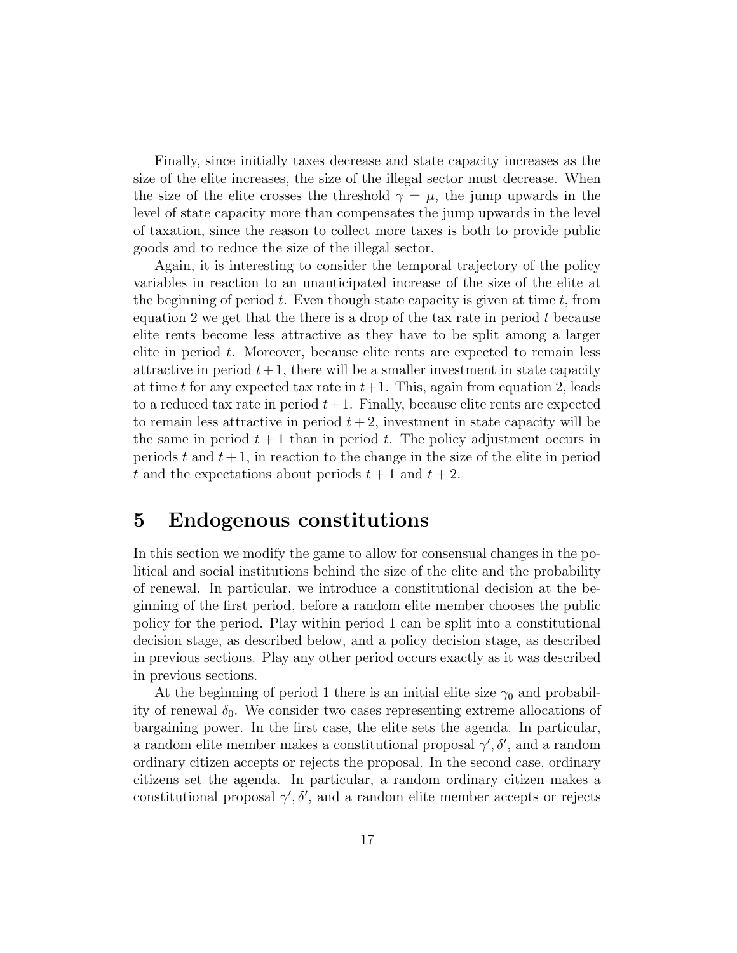Finally, since initially taxes decrease and state capacity increases as the size of the elite increases, the size of the illegal sector must decrease. When the size of the elite crosses the threshold  $\gamma = \mu$ , the jump upwards in the level of state capacity more than compensates the jump upwards in the level of taxation, since the reason to collect more taxes is both to provide public goods and to reduce the size of the illegal sector.

Again, it is interesting to consider the temporal trajectory of the policy variables in reaction to an unanticipated increase of the size of the elite at the beginning of period t. Even though state capacity is given at time t, from equation 2 we get that the there is a drop of the tax rate in period  $t$  because elite rents become less attractive as they have to be split among a larger elite in period  $t$ . Moreover, because elite rents are expected to remain less attractive in period  $t + 1$ , there will be a smaller investment in state capacity at time t for any expected tax rate in  $t+1$ . This, again from equation 2, leads to a reduced tax rate in period  $t+1$ . Finally, because elite rents are expected to remain less attractive in period  $t + 2$ , investment in state capacity will be the same in period  $t + 1$  than in period t. The policy adjustment occurs in periods t and  $t + 1$ , in reaction to the change in the size of the elite in period t and the expectations about periods  $t + 1$  and  $t + 2$ .

# 5 Endogenous constitutions

In this section we modify the game to allow for consensual changes in the political and social institutions behind the size of the elite and the probability of renewal. In particular, we introduce a constitutional decision at the beginning of the first period, before a random elite member chooses the public policy for the period. Play within period 1 can be split into a constitutional decision stage, as described below, and a policy decision stage, as described in previous sections. Play any other period occurs exactly as it was described in previous sections.

At the beginning of period 1 there is an initial elite size  $\gamma_0$  and probability of renewal  $\delta_0$ . We consider two cases representing extreme allocations of bargaining power. In the first case, the elite sets the agenda. In particular, a random elite member makes a constitutional proposal  $\gamma', \delta'$ , and a random ordinary citizen accepts or rejects the proposal. In the second case, ordinary citizens set the agenda. In particular, a random ordinary citizen makes a constitutional proposal  $\gamma', \delta'$ , and a random elite member accepts or rejects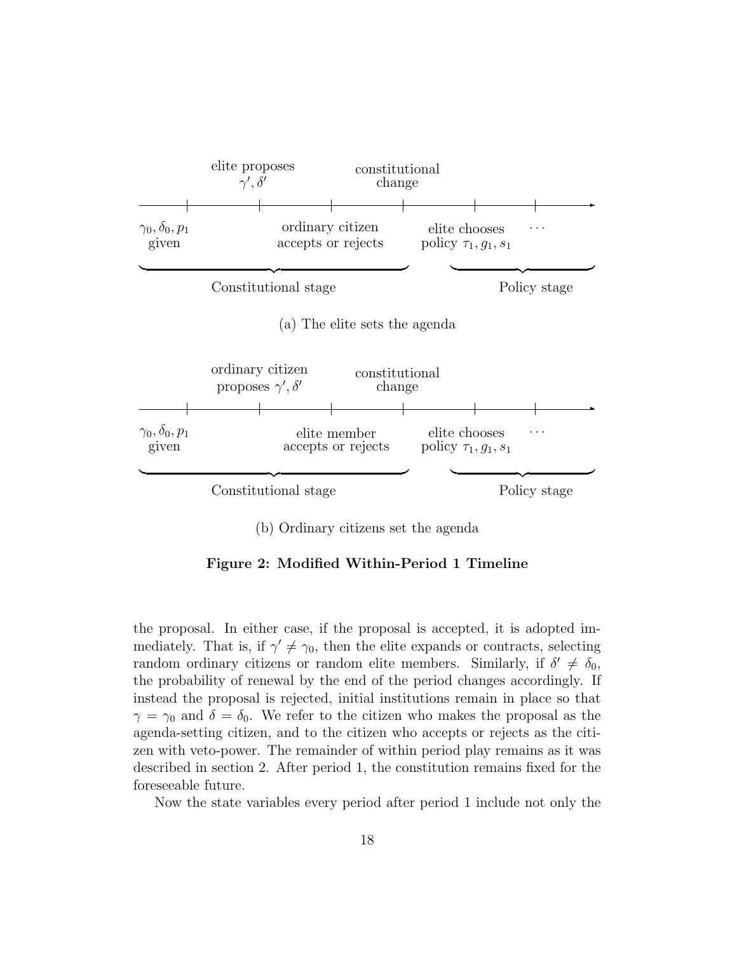

(b) Ordinary citizens set the agenda

Figure 2: Modified Within-Period 1 Timeline

the proposal. In either case, if the proposal is accepted, it is adopted immediately. That is, if  $\gamma' \neq \gamma_0$ , then the elite expands or contracts, selecting random ordinary citizens or random elite members. Similarly, if  $\delta' \neq \delta_0$ , the probability of renewal by the end of the period changes accordingly. If instead the proposal is rejected, initial institutions remain in place so that  $\gamma = \gamma_0$  and  $\delta = \delta_0$ . We refer to the citizen who makes the proposal as the agenda-setting citizen, and to the citizen who accepts or rejects as the citizen with veto-power. The remainder of within period play remains as it was described in section 2. After period 1, the constitution remains fixed for the foreseeable future.

Now the state variables every period after period 1 include not only the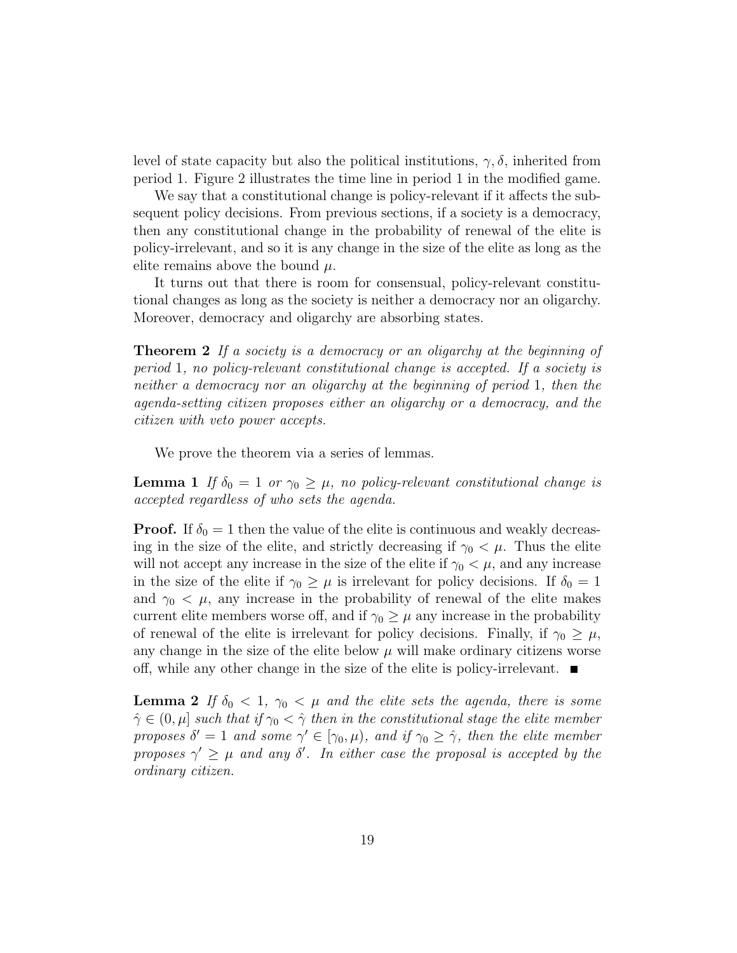level of state capacity but also the political institutions,  $\gamma$ ,  $\delta$ , inherited from period 1. Figure 2 illustrates the time line in period 1 in the modified game.

We say that a constitutional change is policy-relevant if it affects the subsequent policy decisions. From previous sections, if a society is a democracy, then any constitutional change in the probability of renewal of the elite is policy-irrelevant, and so it is any change in the size of the elite as long as the elite remains above the bound  $\mu$ .

It turns out that there is room for consensual, policy-relevant constitutional changes as long as the society is neither a democracy nor an oligarchy. Moreover, democracy and oligarchy are absorbing states.

**Theorem 2** If a society is a democracy or an oligarchy at the beginning of period 1, no policy-relevant constitutional change is accepted. If a society is neither a democracy nor an oligarchy at the beginning of period 1, then the agenda-setting citizen proposes either an oligarchy or a democracy, and the citizen with veto power accepts.

We prove the theorem via a series of lemmas.

**Lemma 1** If  $\delta_0 = 1$  or  $\gamma_0 \geq \mu$ , no policy-relevant constitutional change is accepted regardless of who sets the agenda.

**Proof.** If  $\delta_0 = 1$  then the value of the elite is continuous and weakly decreasing in the size of the elite, and strictly decreasing if  $\gamma_0 < \mu$ . Thus the elite will not accept any increase in the size of the elite if  $\gamma_0 < \mu$ , and any increase in the size of the elite if  $\gamma_0 \geq \mu$  is irrelevant for policy decisions. If  $\delta_0 = 1$ and  $\gamma_0 < \mu$ , any increase in the probability of renewal of the elite makes current elite members worse off, and if  $\gamma_0 \geq \mu$  any increase in the probability of renewal of the elite is irrelevant for policy decisions. Finally, if  $\gamma_0 \geq \mu$ , any change in the size of the elite below  $\mu$  will make ordinary citizens worse off, while any other change in the size of the elite is policy-irrelevant.  $\blacksquare$ 

**Lemma 2** If  $\delta_0 < 1$ ,  $\gamma_0 < \mu$  and the elite sets the agenda, there is some  $\hat{\gamma} \in (0, \mu]$  such that if  $\gamma_0 < \hat{\gamma}$  then in the constitutional stage the elite member proposes  $\delta' = 1$  and some  $\gamma' \in [\gamma_0, \mu)$ , and if  $\gamma_0 \geq \hat{\gamma}$ , then the elite member proposes  $\gamma' \geq \mu$  and any  $\delta'$ . In either case the proposal is accepted by the ordinary citizen.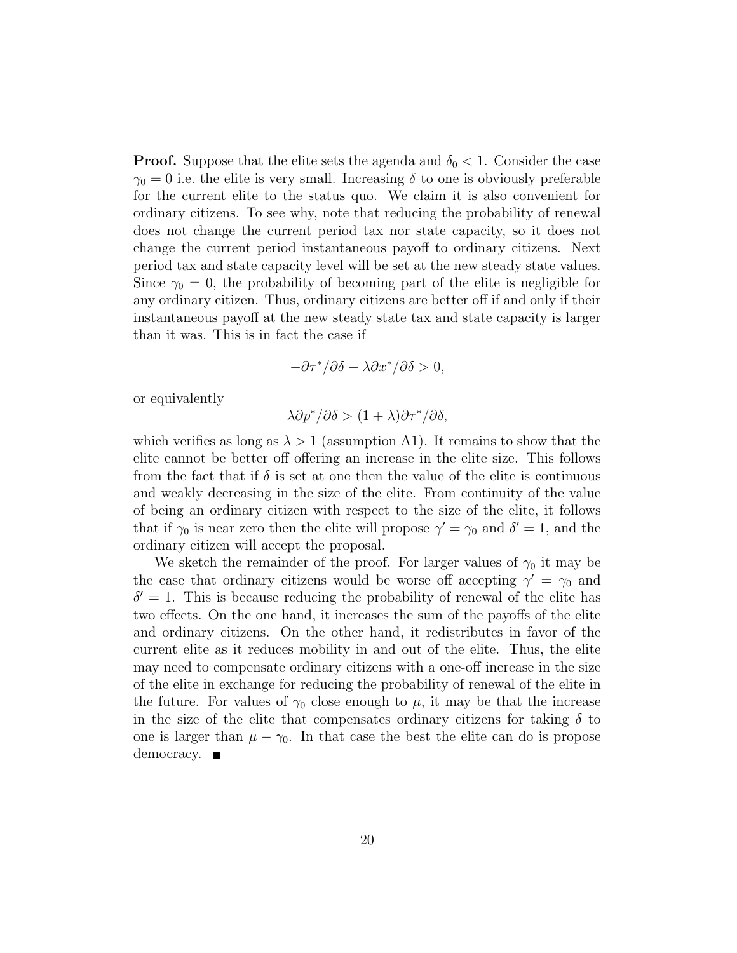**Proof.** Suppose that the elite sets the agenda and  $\delta_0 < 1$ . Consider the case  $\gamma_0 = 0$  i.e. the elite is very small. Increasing  $\delta$  to one is obviously preferable for the current elite to the status quo. We claim it is also convenient for ordinary citizens. To see why, note that reducing the probability of renewal does not change the current period tax nor state capacity, so it does not change the current period instantaneous payoff to ordinary citizens. Next period tax and state capacity level will be set at the new steady state values. Since  $\gamma_0 = 0$ , the probability of becoming part of the elite is negligible for any ordinary citizen. Thus, ordinary citizens are better off if and only if their instantaneous payoff at the new steady state tax and state capacity is larger than it was. This is in fact the case if

$$
-\partial \tau^* / \partial \delta - \lambda \partial x^* / \partial \delta > 0,
$$

or equivalently

$$
\lambda \partial p^* / \partial \delta > (1 + \lambda) \partial \tau^* / \partial \delta,
$$

which verifies as long as  $\lambda > 1$  (assumption A1). It remains to show that the elite cannot be better off offering an increase in the elite size. This follows from the fact that if  $\delta$  is set at one then the value of the elite is continuous and weakly decreasing in the size of the elite. From continuity of the value of being an ordinary citizen with respect to the size of the elite, it follows that if  $\gamma_0$  is near zero then the elite will propose  $\gamma' = \gamma_0$  and  $\delta' = 1$ , and the ordinary citizen will accept the proposal.

We sketch the remainder of the proof. For larger values of  $\gamma_0$  it may be the case that ordinary citizens would be worse off accepting  $\gamma' = \gamma_0$  and  $\delta' = 1$ . This is because reducing the probability of renewal of the elite has two effects. On the one hand, it increases the sum of the payoffs of the elite and ordinary citizens. On the other hand, it redistributes in favor of the current elite as it reduces mobility in and out of the elite. Thus, the elite may need to compensate ordinary citizens with a one-off increase in the size of the elite in exchange for reducing the probability of renewal of the elite in the future. For values of  $\gamma_0$  close enough to  $\mu$ , it may be that the increase in the size of the elite that compensates ordinary citizens for taking  $\delta$  to one is larger than  $\mu - \gamma_0$ . In that case the best the elite can do is propose democracy. ■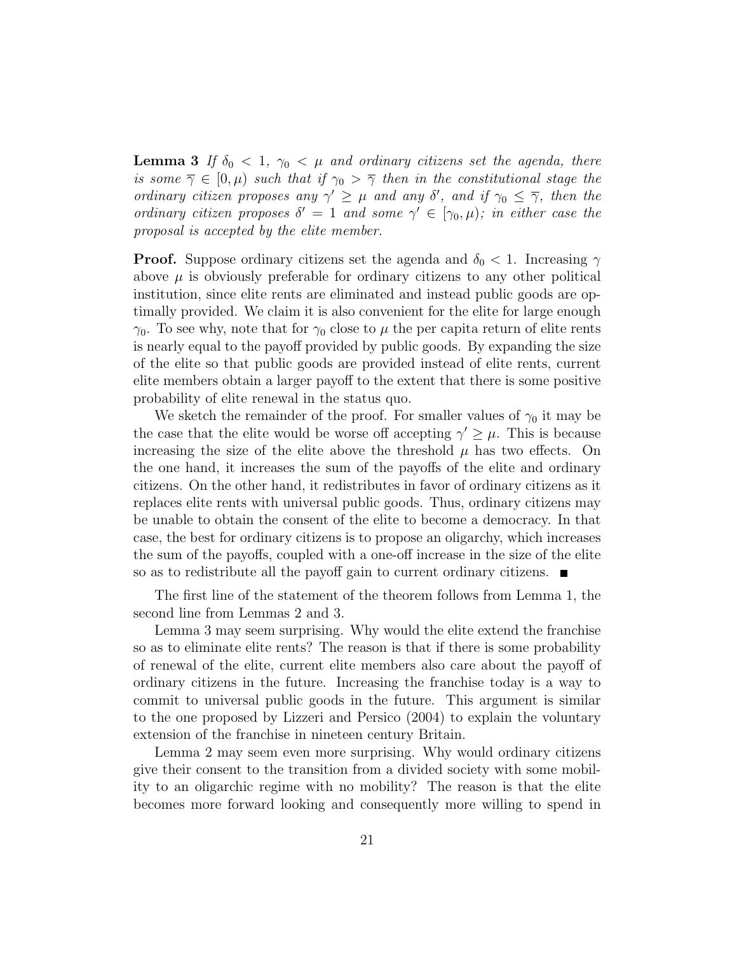**Lemma 3** If  $\delta_0 < 1$ ,  $\gamma_0 < \mu$  and ordinary citizens set the agenda, there is some  $\overline{\gamma} \in [0,\mu)$  such that if  $\gamma_0 > \overline{\gamma}$  then in the constitutional stage the ordinary citizen proposes any  $\gamma' \geq \mu$  and any  $\delta'$ , and if  $\gamma_0 \leq \overline{\gamma}$ , then the ordinary citizen proposes  $\delta' = 1$  and some  $\gamma' \in [\gamma_0, \mu)$ ; in either case the proposal is accepted by the elite member.

**Proof.** Suppose ordinary citizens set the agenda and  $\delta_0 < 1$ . Increasing  $\gamma$ above  $\mu$  is obviously preferable for ordinary citizens to any other political institution, since elite rents are eliminated and instead public goods are optimally provided. We claim it is also convenient for the elite for large enough  $\gamma_0$ . To see why, note that for  $\gamma_0$  close to  $\mu$  the per capita return of elite rents is nearly equal to the payoff provided by public goods. By expanding the size of the elite so that public goods are provided instead of elite rents, current elite members obtain a larger payoff to the extent that there is some positive probability of elite renewal in the status quo.

We sketch the remainder of the proof. For smaller values of  $\gamma_0$  it may be the case that the elite would be worse off accepting  $\gamma' \geq \mu$ . This is because increasing the size of the elite above the threshold  $\mu$  has two effects. On the one hand, it increases the sum of the payoffs of the elite and ordinary citizens. On the other hand, it redistributes in favor of ordinary citizens as it replaces elite rents with universal public goods. Thus, ordinary citizens may be unable to obtain the consent of the elite to become a democracy. In that case, the best for ordinary citizens is to propose an oligarchy, which increases the sum of the payoffs, coupled with a one-off increase in the size of the elite so as to redistribute all the payoff gain to current ordinary citizens.  $\blacksquare$ 

The first line of the statement of the theorem follows from Lemma 1, the second line from Lemmas 2 and 3.

Lemma 3 may seem surprising. Why would the elite extend the franchise so as to eliminate elite rents? The reason is that if there is some probability of renewal of the elite, current elite members also care about the payoff of ordinary citizens in the future. Increasing the franchise today is a way to commit to universal public goods in the future. This argument is similar to the one proposed by Lizzeri and Persico (2004) to explain the voluntary extension of the franchise in nineteen century Britain.

Lemma 2 may seem even more surprising. Why would ordinary citizens give their consent to the transition from a divided society with some mobility to an oligarchic regime with no mobility? The reason is that the elite becomes more forward looking and consequently more willing to spend in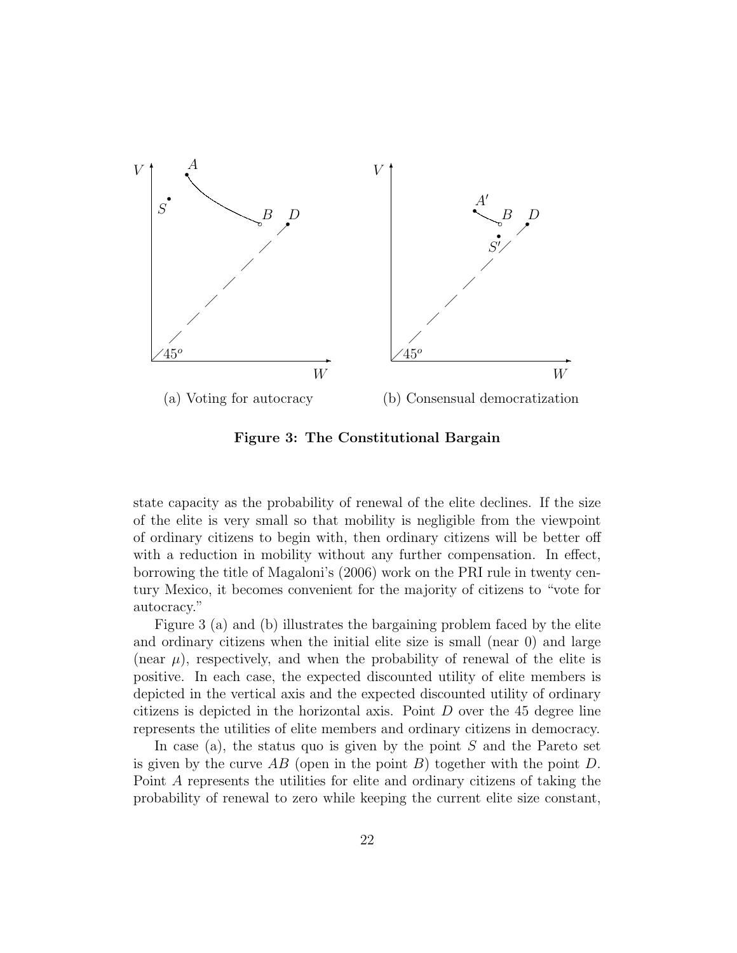

Figure 3: The Constitutional Bargain

state capacity as the probability of renewal of the elite declines. If the size of the elite is very small so that mobility is negligible from the viewpoint of ordinary citizens to begin with, then ordinary citizens will be better off with a reduction in mobility without any further compensation. In effect, borrowing the title of Magaloni's (2006) work on the PRI rule in twenty century Mexico, it becomes convenient for the majority of citizens to "vote for autocracy."

Figure 3 (a) and (b) illustrates the bargaining problem faced by the elite and ordinary citizens when the initial elite size is small (near 0) and large (near  $\mu$ ), respectively, and when the probability of renewal of the elite is positive. In each case, the expected discounted utility of elite members is depicted in the vertical axis and the expected discounted utility of ordinary citizens is depicted in the horizontal axis. Point  $D$  over the 45 degree line represents the utilities of elite members and ordinary citizens in democracy.

In case (a), the status quo is given by the point  $S$  and the Pareto set is given by the curve  $AB$  (open in the point B) together with the point D. Point A represents the utilities for elite and ordinary citizens of taking the probability of renewal to zero while keeping the current elite size constant,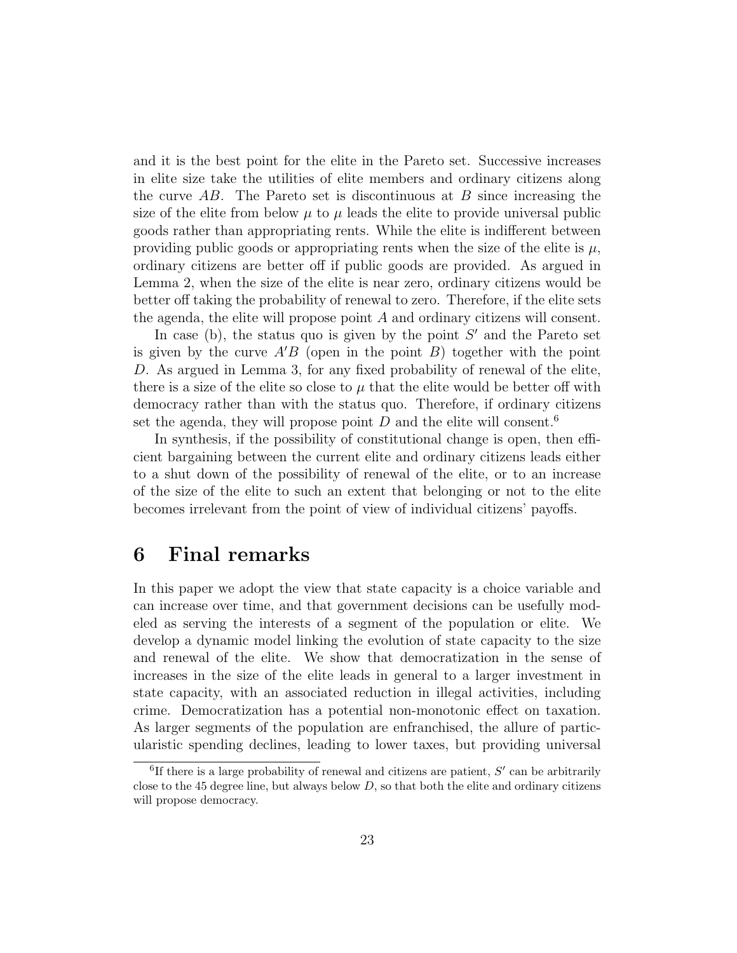and it is the best point for the elite in the Pareto set. Successive increases in elite size take the utilities of elite members and ordinary citizens along the curve  $AB$ . The Pareto set is discontinuous at B since increasing the size of the elite from below  $\mu$  to  $\mu$  leads the elite to provide universal public goods rather than appropriating rents. While the elite is indifferent between providing public goods or appropriating rents when the size of the elite is  $\mu$ , ordinary citizens are better off if public goods are provided. As argued in Lemma 2, when the size of the elite is near zero, ordinary citizens would be better off taking the probability of renewal to zero. Therefore, if the elite sets the agenda, the elite will propose point A and ordinary citizens will consent.

In case (b), the status quo is given by the point  $S'$  and the Pareto set is given by the curve  $A'B$  (open in the point B) together with the point D. As argued in Lemma 3, for any fixed probability of renewal of the elite, there is a size of the elite so close to  $\mu$  that the elite would be better off with democracy rather than with the status quo. Therefore, if ordinary citizens set the agenda, they will propose point  $D$  and the elite will consent.<sup>6</sup>

In synthesis, if the possibility of constitutional change is open, then efficient bargaining between the current elite and ordinary citizens leads either to a shut down of the possibility of renewal of the elite, or to an increase of the size of the elite to such an extent that belonging or not to the elite becomes irrelevant from the point of view of individual citizens' payoffs.

# 6 Final remarks

In this paper we adopt the view that state capacity is a choice variable and can increase over time, and that government decisions can be usefully modeled as serving the interests of a segment of the population or elite. We develop a dynamic model linking the evolution of state capacity to the size and renewal of the elite. We show that democratization in the sense of increases in the size of the elite leads in general to a larger investment in state capacity, with an associated reduction in illegal activities, including crime. Democratization has a potential non-monotonic effect on taxation. As larger segments of the population are enfranchised, the allure of particularistic spending declines, leading to lower taxes, but providing universal

 ${}^{6}$ If there is a large probability of renewal and citizens are patient,  $S'$  can be arbitrarily close to the 45 degree line, but always below  $D$ , so that both the elite and ordinary citizens will propose democracy.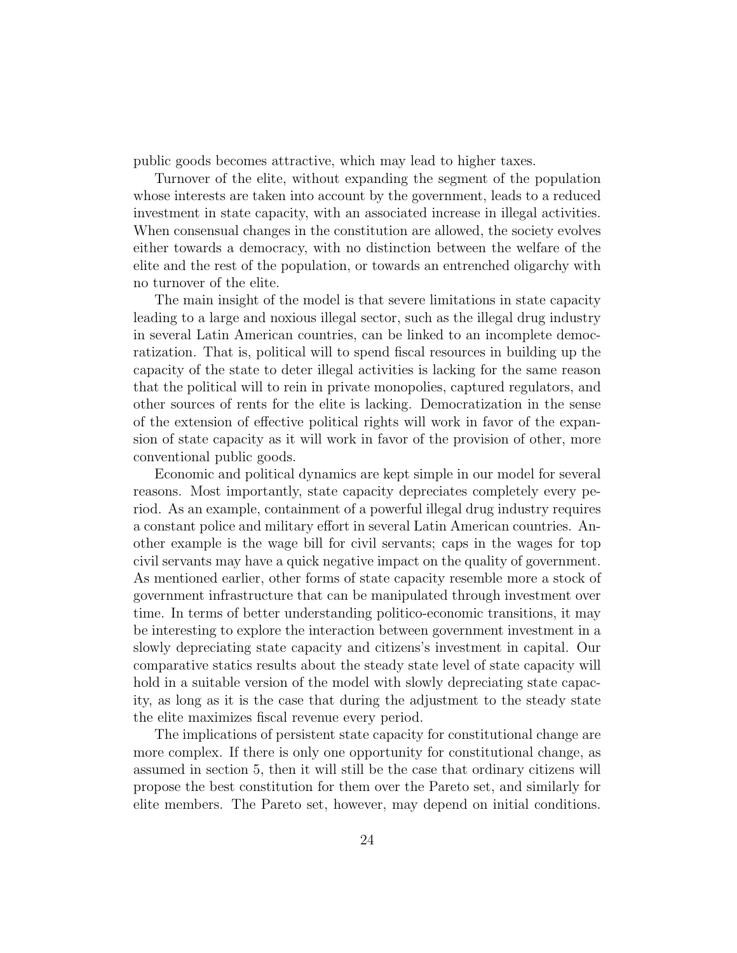public goods becomes attractive, which may lead to higher taxes.

Turnover of the elite, without expanding the segment of the population whose interests are taken into account by the government, leads to a reduced investment in state capacity, with an associated increase in illegal activities. When consensual changes in the constitution are allowed, the society evolves either towards a democracy, with no distinction between the welfare of the elite and the rest of the population, or towards an entrenched oligarchy with no turnover of the elite.

The main insight of the model is that severe limitations in state capacity leading to a large and noxious illegal sector, such as the illegal drug industry in several Latin American countries, can be linked to an incomplete democratization. That is, political will to spend fiscal resources in building up the capacity of the state to deter illegal activities is lacking for the same reason that the political will to rein in private monopolies, captured regulators, and other sources of rents for the elite is lacking. Democratization in the sense of the extension of effective political rights will work in favor of the expansion of state capacity as it will work in favor of the provision of other, more conventional public goods.

Economic and political dynamics are kept simple in our model for several reasons. Most importantly, state capacity depreciates completely every period. As an example, containment of a powerful illegal drug industry requires a constant police and military effort in several Latin American countries. Another example is the wage bill for civil servants; caps in the wages for top civil servants may have a quick negative impact on the quality of government. As mentioned earlier, other forms of state capacity resemble more a stock of government infrastructure that can be manipulated through investment over time. In terms of better understanding politico-economic transitions, it may be interesting to explore the interaction between government investment in a slowly depreciating state capacity and citizens's investment in capital. Our comparative statics results about the steady state level of state capacity will hold in a suitable version of the model with slowly depreciating state capacity, as long as it is the case that during the adjustment to the steady state the elite maximizes fiscal revenue every period.

The implications of persistent state capacity for constitutional change are more complex. If there is only one opportunity for constitutional change, as assumed in section 5, then it will still be the case that ordinary citizens will propose the best constitution for them over the Pareto set, and similarly for elite members. The Pareto set, however, may depend on initial conditions.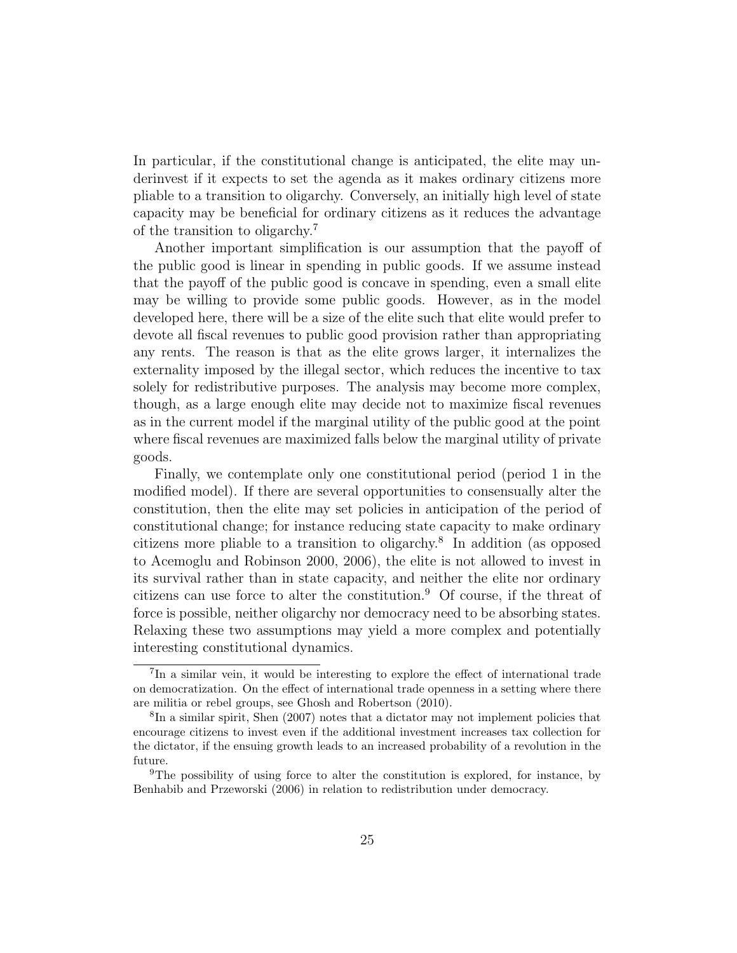In particular, if the constitutional change is anticipated, the elite may underinvest if it expects to set the agenda as it makes ordinary citizens more pliable to a transition to oligarchy. Conversely, an initially high level of state capacity may be beneficial for ordinary citizens as it reduces the advantage of the transition to oligarchy.<sup>7</sup>

Another important simplification is our assumption that the payoff of the public good is linear in spending in public goods. If we assume instead that the payoff of the public good is concave in spending, even a small elite may be willing to provide some public goods. However, as in the model developed here, there will be a size of the elite such that elite would prefer to devote all fiscal revenues to public good provision rather than appropriating any rents. The reason is that as the elite grows larger, it internalizes the externality imposed by the illegal sector, which reduces the incentive to tax solely for redistributive purposes. The analysis may become more complex, though, as a large enough elite may decide not to maximize fiscal revenues as in the current model if the marginal utility of the public good at the point where fiscal revenues are maximized falls below the marginal utility of private goods.

Finally, we contemplate only one constitutional period (period 1 in the modified model). If there are several opportunities to consensually alter the constitution, then the elite may set policies in anticipation of the period of constitutional change; for instance reducing state capacity to make ordinary citizens more pliable to a transition to oligarchy.<sup>8</sup> In addition (as opposed to Acemoglu and Robinson 2000, 2006), the elite is not allowed to invest in its survival rather than in state capacity, and neither the elite nor ordinary citizens can use force to alter the constitution.<sup>9</sup> Of course, if the threat of force is possible, neither oligarchy nor democracy need to be absorbing states. Relaxing these two assumptions may yield a more complex and potentially interesting constitutional dynamics.

<sup>7</sup> In a similar vein, it would be interesting to explore the effect of international trade on democratization. On the effect of international trade openness in a setting where there are militia or rebel groups, see Ghosh and Robertson (2010).

<sup>8</sup> In a similar spirit, Shen (2007) notes that a dictator may not implement policies that encourage citizens to invest even if the additional investment increases tax collection for the dictator, if the ensuing growth leads to an increased probability of a revolution in the future.

<sup>&</sup>lt;sup>9</sup>The possibility of using force to alter the constitution is explored, for instance, by Benhabib and Przeworski (2006) in relation to redistribution under democracy.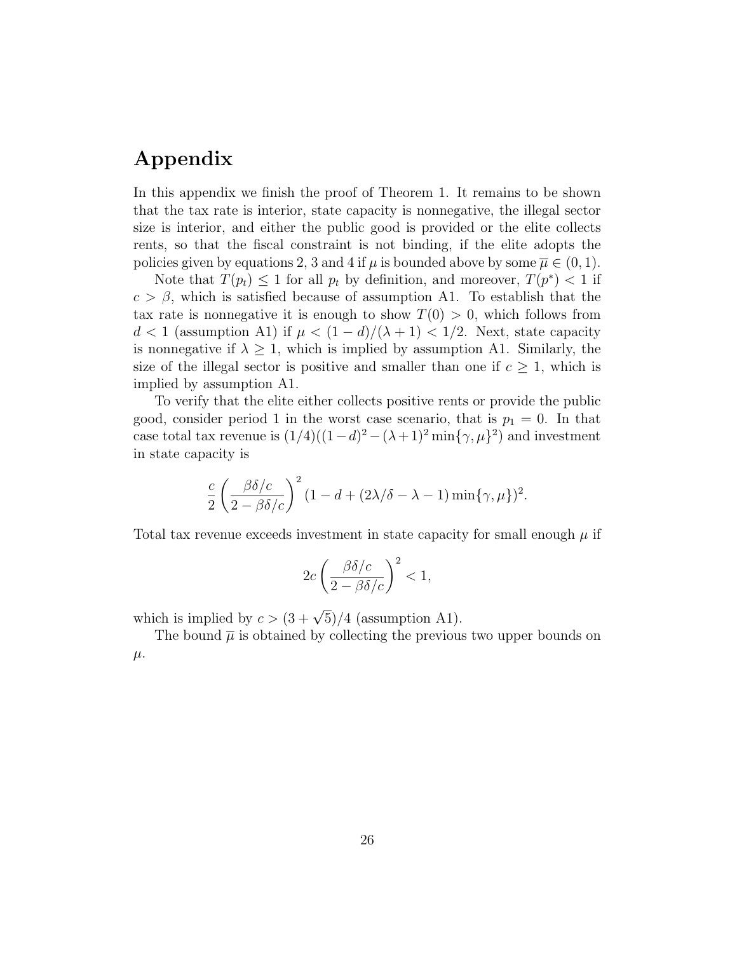# Appendix

In this appendix we finish the proof of Theorem 1. It remains to be shown that the tax rate is interior, state capacity is nonnegative, the illegal sector size is interior, and either the public good is provided or the elite collects rents, so that the fiscal constraint is not binding, if the elite adopts the policies given by equations 2, 3 and 4 if  $\mu$  is bounded above by some  $\overline{\mu} \in (0,1)$ .

Note that  $T(p_t) \leq 1$  for all  $p_t$  by definition, and moreover,  $T(p^*) < 1$  if  $c > \beta$ , which is satisfied because of assumption A1. To establish that the tax rate is nonnegative it is enough to show  $T(0) > 0$ , which follows from  $d < 1$  (assumption A1) if  $\mu < (1 - d)/(\lambda + 1) < 1/2$ . Next, state capacity is nonnegative if  $\lambda \geq 1$ , which is implied by assumption A1. Similarly, the size of the illegal sector is positive and smaller than one if  $c \geq 1$ , which is implied by assumption A1.

To verify that the elite either collects positive rents or provide the public good, consider period 1 in the worst case scenario, that is  $p_1 = 0$ . In that case total tax revenue is  $(1/4)((1-d)^2 - (\lambda+1)^2 \min{\gamma, \mu}^2)$  and investment in state capacity is

$$
\frac{c}{2} \left( \frac{\beta \delta/c}{2 - \beta \delta/c} \right)^2 (1 - d + (2\lambda/\delta - \lambda - 1) \min{\{\gamma, \mu\}}^2).
$$

Total tax revenue exceeds investment in state capacity for small enough  $\mu$  if

$$
2c\left(\frac{\beta\delta/c}{2-\beta\delta/c}\right)^2<1,
$$

which is implied by  $c > (3 + \sqrt{5})/4$  (assumption A1).

The bound  $\bar{\mu}$  is obtained by collecting the previous two upper bounds on  $\mu$ .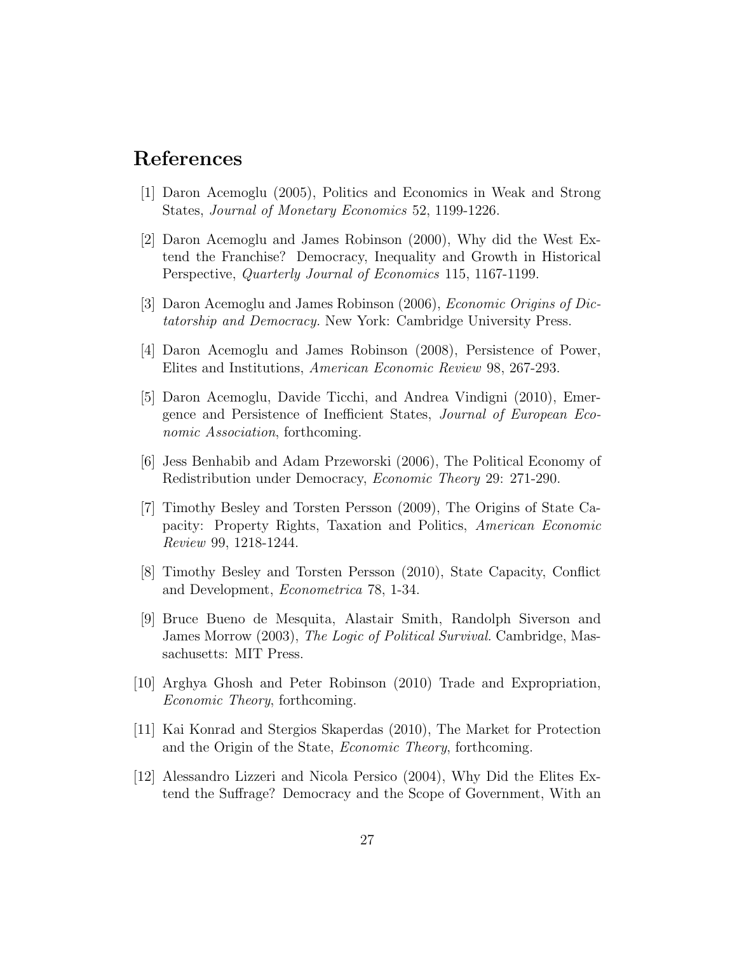# References

- [1] Daron Acemoglu (2005), Politics and Economics in Weak and Strong States, Journal of Monetary Economics 52, 1199-1226.
- [2] Daron Acemoglu and James Robinson (2000), Why did the West Extend the Franchise? Democracy, Inequality and Growth in Historical Perspective, Quarterly Journal of Economics 115, 1167-1199.
- [3] Daron Acemoglu and James Robinson (2006), Economic Origins of Dictatorship and Democracy. New York: Cambridge University Press.
- [4] Daron Acemoglu and James Robinson (2008), Persistence of Power, Elites and Institutions, American Economic Review 98, 267-293.
- [5] Daron Acemoglu, Davide Ticchi, and Andrea Vindigni (2010), Emergence and Persistence of Inefficient States, Journal of European Economic Association, forthcoming.
- [6] Jess Benhabib and Adam Przeworski (2006), The Political Economy of Redistribution under Democracy, Economic Theory 29: 271-290.
- [7] Timothy Besley and Torsten Persson (2009), The Origins of State Capacity: Property Rights, Taxation and Politics, American Economic Review 99, 1218-1244.
- [8] Timothy Besley and Torsten Persson (2010), State Capacity, Conflict and Development, Econometrica 78, 1-34.
- [9] Bruce Bueno de Mesquita, Alastair Smith, Randolph Siverson and James Morrow (2003), The Logic of Political Survival. Cambridge, Massachusetts: MIT Press.
- [10] Arghya Ghosh and Peter Robinson (2010) Trade and Expropriation, Economic Theory, forthcoming.
- [11] Kai Konrad and Stergios Skaperdas (2010), The Market for Protection and the Origin of the State, Economic Theory, forthcoming.
- [12] Alessandro Lizzeri and Nicola Persico (2004), Why Did the Elites Extend the Suffrage? Democracy and the Scope of Government, With an